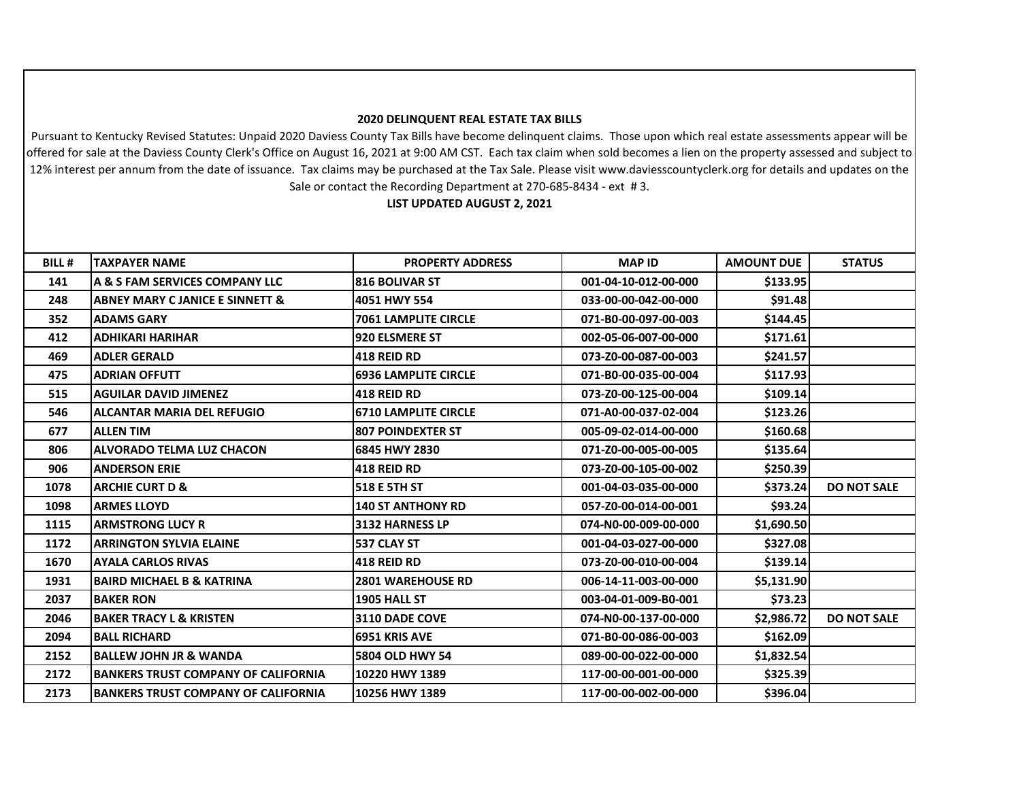## **2020 DELINQUENT REAL ESTATE TAX BILLS**

Pursuant to Kentucky Revised Statutes: Unpaid 2020 Daviess County Tax Bills have become delinquent claims. Those upon which real estate assessments appear will be offered for sale at the Daviess County Clerk's Office on August 16, 2021 at 9:00 AM CST. Each tax claim when sold becomes a lien on the property assessed and subject to 12% interest per annum from the date of issuance. Tax claims may be purchased at the Tax Sale. Please visit www.daviesscountyclerk.org for details and updates on the Sale or contact the Recording Department at 270-685-8434 - ext # 3.

**LIST UPDATED AUGUST 2, 2021**

| <b>BILL#</b> | <b>TAXPAYER NAME</b>                       | <b>PROPERTY ADDRESS</b>     | <b>MAP ID</b>        | <b>AMOUNT DUE</b> | <b>STATUS</b>      |
|--------------|--------------------------------------------|-----------------------------|----------------------|-------------------|--------------------|
| 141          | A & S FAM SERVICES COMPANY LLC             | <b>816 BOLIVAR ST</b>       | 001-04-10-012-00-000 | \$133.95          |                    |
| 248          | <b>ABNEY MARY C JANICE E SINNETT &amp;</b> | 4051 HWY 554                | 033-00-00-042-00-000 | \$91.48           |                    |
| 352          | <b>ADAMS GARY</b>                          | <b>7061 LAMPLITE CIRCLE</b> | 071-B0-00-097-00-003 | \$144.45          |                    |
| 412          | <b>ADHIKARI HARIHAR</b>                    | <b>920 ELSMERE ST</b>       | 002-05-06-007-00-000 | \$171.61          |                    |
| 469          | <b>ADLER GERALD</b>                        | <b>418 REID RD</b>          | 073-Z0-00-087-00-003 | \$241.57          |                    |
| 475          | <b>ADRIAN OFFUTT</b>                       | <b>6936 LAMPLITE CIRCLE</b> | 071-B0-00-035-00-004 | \$117.93          |                    |
| 515          | <b>AGUILAR DAVID JIMENEZ</b>               | <b>418 REID RD</b>          | 073-Z0-00-125-00-004 | \$109.14          |                    |
| 546          | <b>ALCANTAR MARIA DEL REFUGIO</b>          | <b>6710 LAMPLITE CIRCLE</b> | 071-A0-00-037-02-004 | \$123.26          |                    |
| 677          | <b>ALLEN TIM</b>                           | <b>807 POINDEXTER ST</b>    | 005-09-02-014-00-000 | \$160.68          |                    |
| 806          | <b>ALVORADO TELMA LUZ CHACON</b>           | 6845 HWY 2830               | 071-Z0-00-005-00-005 | \$135.64          |                    |
| 906          | <b>ANDERSON ERIE</b>                       | <b>418 REID RD</b>          | 073-Z0-00-105-00-002 | \$250.39          |                    |
| 1078         | <b>ARCHIE CURT D &amp;</b>                 | <b>518 E 5TH ST</b>         | 001-04-03-035-00-000 | \$373.24          | <b>DO NOT SALE</b> |
| 1098         | <b>ARMES LLOYD</b>                         | <b>140 ST ANTHONY RD</b>    | 057-Z0-00-014-00-001 | \$93.24           |                    |
| 1115         | <b>ARMSTRONG LUCY R</b>                    | 3132 HARNESS LP             | 074-N0-00-009-00-000 | \$1,690.50        |                    |
| 1172         | <b>ARRINGTON SYLVIA ELAINE</b>             | 537 CLAY ST                 | 001-04-03-027-00-000 | \$327.08          |                    |
| 1670         | <b>AYALA CARLOS RIVAS</b>                  | <b>418 REID RD</b>          | 073-Z0-00-010-00-004 | \$139.14          |                    |
| 1931         | <b>BAIRD MICHAEL B &amp; KATRINA</b>       | <b>2801 WAREHOUSE RD</b>    | 006-14-11-003-00-000 | \$5,131.90        |                    |
| 2037         | <b>BAKER RON</b>                           | 1905 HALL ST                | 003-04-01-009-B0-001 | \$73.23           |                    |
| 2046         | <b>BAKER TRACY L &amp; KRISTEN</b>         | <b>3110 DADE COVE</b>       | 074-N0-00-137-00-000 | \$2,986.72        | <b>DO NOT SALE</b> |
| 2094         | <b>BALL RICHARD</b>                        | 6951 KRIS AVE               | 071-B0-00-086-00-003 | \$162.09          |                    |
| 2152         | <b>BALLEW JOHN JR &amp; WANDA</b>          | <b>5804 OLD HWY 54</b>      | 089-00-00-022-00-000 | \$1,832.54        |                    |
| 2172         | <b>BANKERS TRUST COMPANY OF CALIFORNIA</b> | 10220 HWY 1389              | 117-00-00-001-00-000 | \$325.39          |                    |
| 2173         | <b>BANKERS TRUST COMPANY OF CALIFORNIA</b> | 10256 HWY 1389              | 117-00-00-002-00-000 | \$396.04          |                    |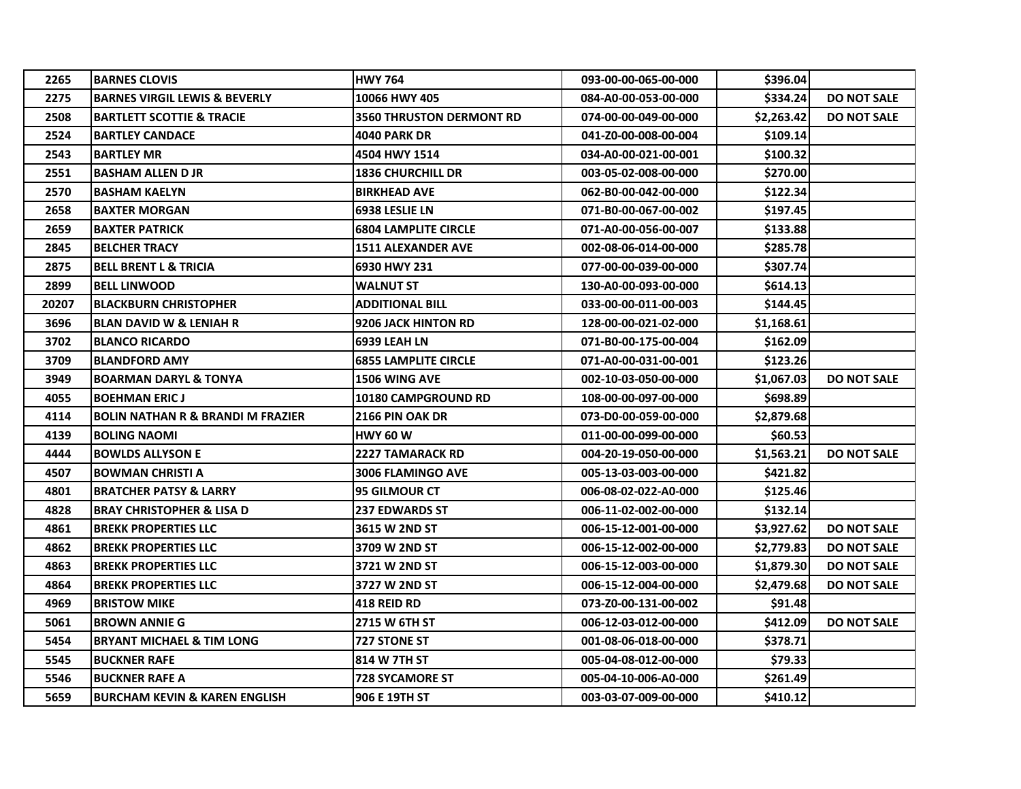| 2265  | <b>BARNES CLOVIS</b>                         | <b>HWY 764</b>                  | 093-00-00-065-00-000 | \$396.04   |                    |
|-------|----------------------------------------------|---------------------------------|----------------------|------------|--------------------|
| 2275  | <b>BARNES VIRGIL LEWIS &amp; BEVERLY</b>     | 10066 HWY 405                   | 084-A0-00-053-00-000 | \$334.24   | <b>DO NOT SALE</b> |
| 2508  | <b>BARTLETT SCOTTIE &amp; TRACIE</b>         | <b>3560 THRUSTON DERMONT RD</b> | 074-00-00-049-00-000 | \$2,263.42 | <b>DO NOT SALE</b> |
| 2524  | <b>BARTLEY CANDACE</b>                       | <b>4040 PARK DR</b>             | 041-Z0-00-008-00-004 | \$109.14   |                    |
| 2543  | <b>BARTLEY MR</b>                            | 4504 HWY 1514                   | 034-A0-00-021-00-001 | \$100.32   |                    |
| 2551  | <b>BASHAM ALLEN D JR</b>                     | <b>1836 CHURCHILL DR</b>        | 003-05-02-008-00-000 | \$270.00   |                    |
| 2570  | <b>BASHAM KAELYN</b>                         | <b>BIRKHEAD AVE</b>             | 062-B0-00-042-00-000 | \$122.34   |                    |
| 2658  | <b>BAXTER MORGAN</b>                         | 6938 LESLIE LN                  | 071-B0-00-067-00-002 | \$197.45   |                    |
| 2659  | <b>BAXTER PATRICK</b>                        | <b>6804 LAMPLITE CIRCLE</b>     | 071-A0-00-056-00-007 | \$133.88   |                    |
| 2845  | <b>BELCHER TRACY</b>                         | <b>1511 ALEXANDER AVE</b>       | 002-08-06-014-00-000 | \$285.78   |                    |
| 2875  | <b>BELL BRENT L &amp; TRICIA</b>             | 6930 HWY 231                    | 077-00-00-039-00-000 | \$307.74   |                    |
| 2899  | <b>BELL LINWOOD</b>                          | <b>WALNUT ST</b>                | 130-A0-00-093-00-000 | \$614.13   |                    |
| 20207 | <b>BLACKBURN CHRISTOPHER</b>                 | ADDITIONAL BILL                 | 033-00-00-011-00-003 | \$144.45   |                    |
| 3696  | <b>BLAN DAVID W &amp; LENIAH R</b>           | 9206 JACK HINTON RD             | 128-00-00-021-02-000 | \$1,168.61 |                    |
| 3702  | <b>BLANCO RICARDO</b>                        | <b>6939 LEAH LN</b>             | 071-B0-00-175-00-004 | \$162.09   |                    |
| 3709  | <b>BLANDFORD AMY</b>                         | <b>6855 LAMPLITE CIRCLE</b>     | 071-A0-00-031-00-001 | \$123.26   |                    |
| 3949  | <b>BOARMAN DARYL &amp; TONYA</b>             | 1506 WING AVE                   | 002-10-03-050-00-000 | \$1,067.03 | <b>DO NOT SALE</b> |
| 4055  | <b>BOEHMAN ERIC J</b>                        | <b>10180 CAMPGROUND RD</b>      | 108-00-00-097-00-000 | \$698.89   |                    |
| 4114  | <b>BOLIN NATHAN R &amp; BRANDI M FRAZIER</b> | 2166 PIN OAK DR                 | 073-D0-00-059-00-000 | \$2,879.68 |                    |
| 4139  | <b>BOLING NAOMI</b>                          | <b>HWY 60 W</b>                 | 011-00-00-099-00-000 | \$60.53    |                    |
| 4444  | <b>BOWLDS ALLYSON E</b>                      | <b>2227 TAMARACK RD</b>         | 004-20-19-050-00-000 | \$1,563.21 | <b>DO NOT SALE</b> |
| 4507  | <b>BOWMAN CHRISTI A</b>                      | <b>3006 FLAMINGO AVE</b>        | 005-13-03-003-00-000 | \$421.82   |                    |
| 4801  | <b>BRATCHER PATSY &amp; LARRY</b>            | <b>95 GILMOUR CT</b>            | 006-08-02-022-A0-000 | \$125.46   |                    |
| 4828  | <b>BRAY CHRISTOPHER &amp; LISA D</b>         | <b>237 EDWARDS ST</b>           | 006-11-02-002-00-000 | \$132.14   |                    |
| 4861  | <b>BREKK PROPERTIES LLC</b>                  | 3615 W 2ND ST                   | 006-15-12-001-00-000 | \$3,927.62 | <b>DO NOT SALE</b> |
| 4862  | <b>BREKK PROPERTIES LLC</b>                  | 3709 W 2ND ST                   | 006-15-12-002-00-000 | \$2,779.83 | <b>DO NOT SALE</b> |
| 4863  | <b>BREKK PROPERTIES LLC</b>                  | 3721 W 2ND ST                   | 006-15-12-003-00-000 | \$1,879.30 | <b>DO NOT SALE</b> |
| 4864  | <b>BREKK PROPERTIES LLC</b>                  | 3727 W 2ND ST                   | 006-15-12-004-00-000 | \$2,479.68 | <b>DO NOT SALE</b> |
| 4969  | <b>BRISTOW MIKE</b>                          | <b>418 REID RD</b>              | 073-Z0-00-131-00-002 | \$91.48    |                    |
| 5061  | <b>BROWN ANNIE G</b>                         | 2715 W 6TH ST                   | 006-12-03-012-00-000 | \$412.09   | <b>DO NOT SALE</b> |
| 5454  | <b>BRYANT MICHAEL &amp; TIM LONG</b>         | 727 STONE ST                    | 001-08-06-018-00-000 | \$378.71   |                    |
| 5545  | <b>BUCKNER RAFE</b>                          | 814 W 7TH ST                    | 005-04-08-012-00-000 | \$79.33    |                    |
| 5546  | <b>BUCKNER RAFE A</b>                        | <b>728 SYCAMORE ST</b>          | 005-04-10-006-A0-000 | \$261.49   |                    |
| 5659  | <b>BURCHAM KEVIN &amp; KAREN ENGLISH</b>     | 906 E 19TH ST                   | 003-03-07-009-00-000 | \$410.12   |                    |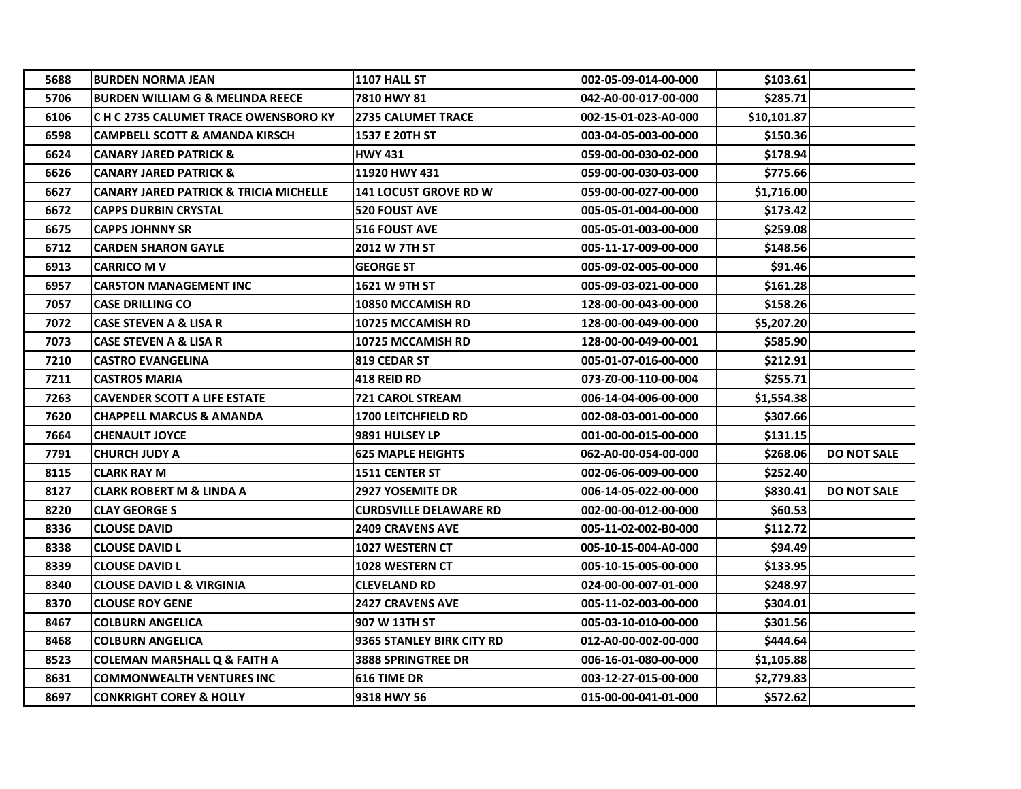| 5688 | <b>BURDEN NORMA JEAN</b>                          | 1107 HALL ST                  | 002-05-09-014-00-000 | \$103.61    |                    |
|------|---------------------------------------------------|-------------------------------|----------------------|-------------|--------------------|
| 5706 | <b>BURDEN WILLIAM G &amp; MELINDA REECE</b>       | 7810 HWY 81                   | 042-A0-00-017-00-000 | \$285.71    |                    |
| 6106 | C H C 2735 CALUMET TRACE OWENSBORO KY             | <b>2735 CALUMET TRACE</b>     | 002-15-01-023-A0-000 | \$10,101.87 |                    |
| 6598 | <b>CAMPBELL SCOTT &amp; AMANDA KIRSCH</b>         | 1537 E 20TH ST                | 003-04-05-003-00-000 | \$150.36    |                    |
| 6624 | <b>CANARY JARED PATRICK &amp;</b>                 | <b>HWY 431</b>                | 059-00-00-030-02-000 | \$178.94    |                    |
| 6626 | <b>CANARY JARED PATRICK &amp;</b>                 | 11920 HWY 431                 | 059-00-00-030-03-000 | \$775.66    |                    |
| 6627 | <b>CANARY JARED PATRICK &amp; TRICIA MICHELLE</b> | <b>141 LOCUST GROVE RD W</b>  | 059-00-00-027-00-000 | \$1,716.00  |                    |
| 6672 | <b>CAPPS DURBIN CRYSTAL</b>                       | <b>520 FOUST AVE</b>          | 005-05-01-004-00-000 | \$173.42    |                    |
| 6675 | <b>CAPPS JOHNNY SR</b>                            | <b>516 FOUST AVE</b>          | 005-05-01-003-00-000 | \$259.08    |                    |
| 6712 | <b>CARDEN SHARON GAYLE</b>                        | 2012 W 7TH ST                 | 005-11-17-009-00-000 | \$148.56    |                    |
| 6913 | <b>CARRICO M V</b>                                | <b>GEORGE ST</b>              | 005-09-02-005-00-000 | \$91.46     |                    |
| 6957 | <b>CARSTON MANAGEMENT INC</b>                     | 1621 W 9TH ST                 | 005-09-03-021-00-000 | \$161.28    |                    |
| 7057 | <b>CASE DRILLING CO</b>                           | 10850 MCCAMISH RD             | 128-00-00-043-00-000 | \$158.26    |                    |
| 7072 | CASE STEVEN A & LISA R                            | <b>10725 MCCAMISH RD</b>      | 128-00-00-049-00-000 | \$5,207.20  |                    |
| 7073 | <b>CASE STEVEN A &amp; LISA R</b>                 | 10725 MCCAMISH RD             | 128-00-00-049-00-001 | \$585.90    |                    |
| 7210 | <b>CASTRO EVANGELINA</b>                          | 819 CEDAR ST                  | 005-01-07-016-00-000 | \$212.91    |                    |
| 7211 | <b>CASTROS MARIA</b>                              | <b>418 REID RD</b>            | 073-Z0-00-110-00-004 | \$255.71    |                    |
| 7263 | <b>CAVENDER SCOTT A LIFE ESTATE</b>               | <b>721 CAROL STREAM</b>       | 006-14-04-006-00-000 | \$1,554.38  |                    |
| 7620 | <b>CHAPPELL MARCUS &amp; AMANDA</b>               | 1700 LEITCHFIELD RD           | 002-08-03-001-00-000 | \$307.66    |                    |
| 7664 | <b>CHENAULT JOYCE</b>                             | 9891 HULSEY LP                | 001-00-00-015-00-000 | \$131.15    |                    |
| 7791 | <b>CHURCH JUDY A</b>                              | <b>625 MAPLE HEIGHTS</b>      | 062-A0-00-054-00-000 | \$268.06    | <b>DO NOT SALE</b> |
| 8115 | <b>CLARK RAY M</b>                                | <b>1511 CENTER ST</b>         | 002-06-06-009-00-000 | \$252.40    |                    |
| 8127 | <b>CLARK ROBERT M &amp; LINDA A</b>               | 2927 YOSEMITE DR              | 006-14-05-022-00-000 | \$830.41    | <b>DO NOT SALE</b> |
| 8220 | <b>CLAY GEORGE S</b>                              | <b>CURDSVILLE DELAWARE RD</b> | 002-00-00-012-00-000 | \$60.53     |                    |
| 8336 | <b>CLOUSE DAVID</b>                               | 2409 CRAVENS AVE              | 005-11-02-002-B0-000 | \$112.72    |                    |
| 8338 | <b>CLOUSE DAVID L</b>                             | 1027 WESTERN CT               | 005-10-15-004-A0-000 | \$94.49     |                    |
| 8339 | <b>CLOUSE DAVID L</b>                             | <b>1028 WESTERN CT</b>        | 005-10-15-005-00-000 | \$133.95    |                    |
| 8340 | <b>CLOUSE DAVID L &amp; VIRGINIA</b>              | <b>CLEVELAND RD</b>           | 024-00-00-007-01-000 | \$248.97    |                    |
| 8370 | <b>CLOUSE ROY GENE</b>                            | <b>2427 CRAVENS AVE</b>       | 005-11-02-003-00-000 | \$304.01    |                    |
| 8467 | <b>COLBURN ANGELICA</b>                           | 907 W 13TH ST                 | 005-03-10-010-00-000 | \$301.56    |                    |
| 8468 | <b>COLBURN ANGELICA</b>                           | 9365 STANLEY BIRK CITY RD     | 012-A0-00-002-00-000 | \$444.64    |                    |
| 8523 | <b>COLEMAN MARSHALL Q &amp; FAITH A</b>           | <b>3888 SPRINGTREE DR</b>     | 006-16-01-080-00-000 | \$1,105.88  |                    |
| 8631 | <b>COMMONWEALTH VENTURES INC</b>                  | <b>616 TIME DR</b>            | 003-12-27-015-00-000 | \$2,779.83  |                    |
| 8697 | <b>CONKRIGHT COREY &amp; HOLLY</b>                | 9318 HWY 56                   | 015-00-00-041-01-000 | \$572.62    |                    |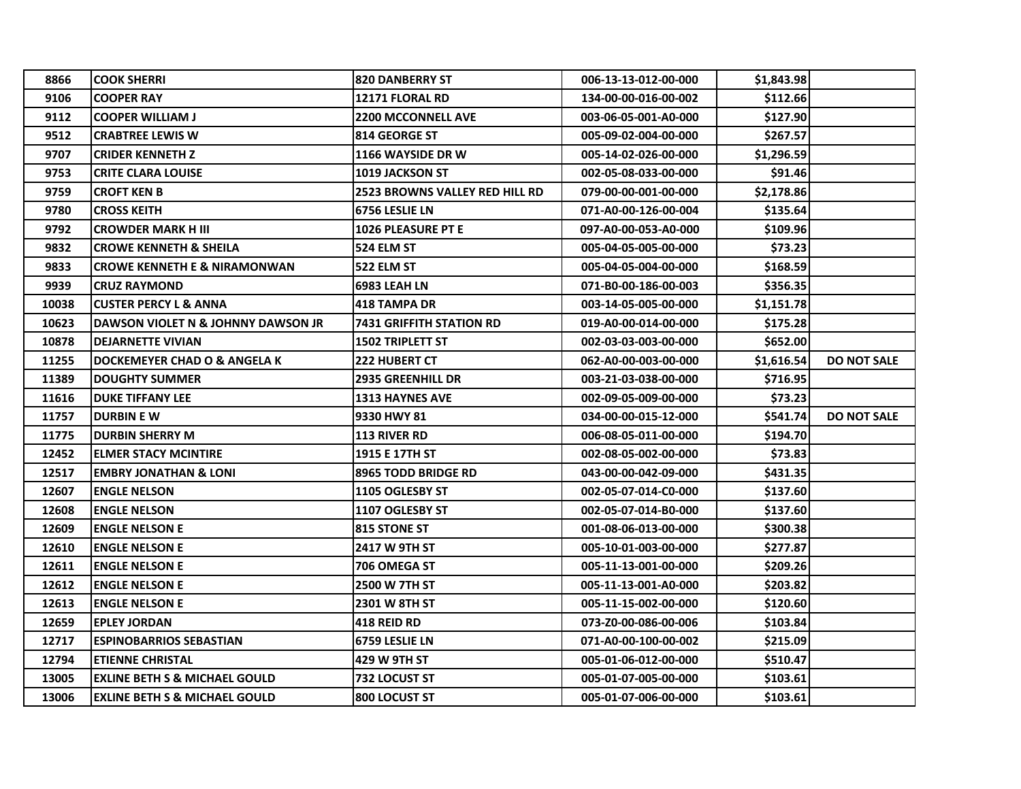| 8866  | <b>COOK SHERRI</b>                       | <b>820 DANBERRY ST</b>          | 006-13-13-012-00-000 | \$1,843.98 |                    |
|-------|------------------------------------------|---------------------------------|----------------------|------------|--------------------|
| 9106  | <b>COOPER RAY</b>                        | <b>12171 FLORAL RD</b>          | 134-00-00-016-00-002 | \$112.66   |                    |
| 9112  | <b>COOPER WILLIAM J</b>                  | <b>2200 MCCONNELL AVE</b>       | 003-06-05-001-A0-000 | \$127.90   |                    |
| 9512  | <b>CRABTREE LEWIS W</b>                  | 814 GEORGE ST                   | 005-09-02-004-00-000 | \$267.57   |                    |
| 9707  | <b>CRIDER KENNETH Z</b>                  | 1166 WAYSIDE DR W               | 005-14-02-026-00-000 | \$1,296.59 |                    |
| 9753  | <b>CRITE CLARA LOUISE</b>                | 1019 JACKSON ST                 | 002-05-08-033-00-000 | \$91.46    |                    |
| 9759  | <b>CROFT KEN B</b>                       | 2523 BROWNS VALLEY RED HILL RD  | 079-00-00-001-00-000 | \$2,178.86 |                    |
| 9780  | <b>CROSS KEITH</b>                       | 6756 LESLIE LN                  | 071-A0-00-126-00-004 | \$135.64   |                    |
| 9792  | <b>CROWDER MARK H III</b>                | 1026 PLEASURE PT E              | 097-A0-00-053-A0-000 | \$109.96   |                    |
| 9832  | <b>CROWE KENNETH &amp; SHEILA</b>        | 524 ELM ST                      | 005-04-05-005-00-000 | \$73.23    |                    |
| 9833  | <b>CROWE KENNETH E &amp; NIRAMONWAN</b>  | 522 ELM ST                      | 005-04-05-004-00-000 | \$168.59   |                    |
| 9939  | <b>CRUZ RAYMOND</b>                      | <b>6983 LEAH LN</b>             | 071-B0-00-186-00-003 | \$356.35   |                    |
| 10038 | <b>CUSTER PERCY L &amp; ANNA</b>         | 418 TAMPA DR                    | 003-14-05-005-00-000 | \$1,151.78 |                    |
| 10623 | DAWSON VIOLET N & JOHNNY DAWSON JR       | <b>7431 GRIFFITH STATION RD</b> | 019-A0-00-014-00-000 | \$175.28   |                    |
| 10878 | <b>DEJARNETTE VIVIAN</b>                 | <b>1502 TRIPLETT ST</b>         | 002-03-03-003-00-000 | \$652.00   |                    |
| 11255 | DOCKEMEYER CHAD O & ANGELA K             | <b>222 HUBERT CT</b>            | 062-A0-00-003-00-000 | \$1,616.54 | <b>DO NOT SALE</b> |
| 11389 | <b>IDOUGHTY SUMMER</b>                   | <b>2935 GREENHILL DR</b>        | 003-21-03-038-00-000 | \$716.95   |                    |
| 11616 | <b>IDUKE TIFFANY LEE</b>                 | <b>1313 HAYNES AVE</b>          | 002-09-05-009-00-000 | \$73.23    |                    |
| 11757 | <b>DURBIN E W</b>                        | 9330 HWY 81                     | 034-00-00-015-12-000 | \$541.74   | <b>DO NOT SALE</b> |
| 11775 | <b>DURBIN SHERRY M</b>                   | <b>113 RIVER RD</b>             | 006-08-05-011-00-000 | \$194.70   |                    |
| 12452 | <b>ELMER STACY MCINTIRE</b>              | 1915 E 17TH ST                  | 002-08-05-002-00-000 | \$73.83    |                    |
| 12517 | <b>EMBRY JONATHAN &amp; LONI</b>         | 8965 TODD BRIDGE RD             | 043-00-00-042-09-000 | \$431.35   |                    |
| 12607 | <b>IENGLE NELSON</b>                     | 1105 OGLESBY ST                 | 002-05-07-014-C0-000 | \$137.60   |                    |
| 12608 | <b>IENGLE NELSON</b>                     | 1107 OGLESBY ST                 | 002-05-07-014-B0-000 | \$137.60   |                    |
| 12609 | <b>ENGLE NELSON E</b>                    | <b>815 STONE ST</b>             | 001-08-06-013-00-000 | \$300.38   |                    |
| 12610 | <b>ENGLE NELSON E</b>                    | <b>2417 W 9TH ST</b>            | 005-10-01-003-00-000 | \$277.87   |                    |
| 12611 | <b>ENGLE NELSON E</b>                    | 706 OMEGA ST                    | 005-11-13-001-00-000 | \$209.26   |                    |
| 12612 | <b>ENGLE NELSON E</b>                    | <b>2500 W 7TH ST</b>            | 005-11-13-001-A0-000 | \$203.82   |                    |
| 12613 | IENGLE NELSON E                          | 2301 W 8TH ST                   | 005-11-15-002-00-000 | \$120.60   |                    |
| 12659 | <b>EPLEY JORDAN</b>                      | 418 REID RD                     | 073-Z0-00-086-00-006 | \$103.84   |                    |
| 12717 | <b>ESPINOBARRIOS SEBASTIAN</b>           | <b>6759 LESLIE LN</b>           | 071-A0-00-100-00-002 | \$215.09   |                    |
| 12794 | <b>IETIENNE CHRISTAL</b>                 | 1429 W 9TH ST                   | 005-01-06-012-00-000 | \$510.47   |                    |
| 13005 | <b>EXLINE BETH S &amp; MICHAEL GOULD</b> | 732 LOCUST ST                   | 005-01-07-005-00-000 | \$103.61   |                    |
| 13006 | <b>EXLINE BETH S &amp; MICHAEL GOULD</b> | <b>800 LOCUST ST</b>            | 005-01-07-006-00-000 | \$103.61   |                    |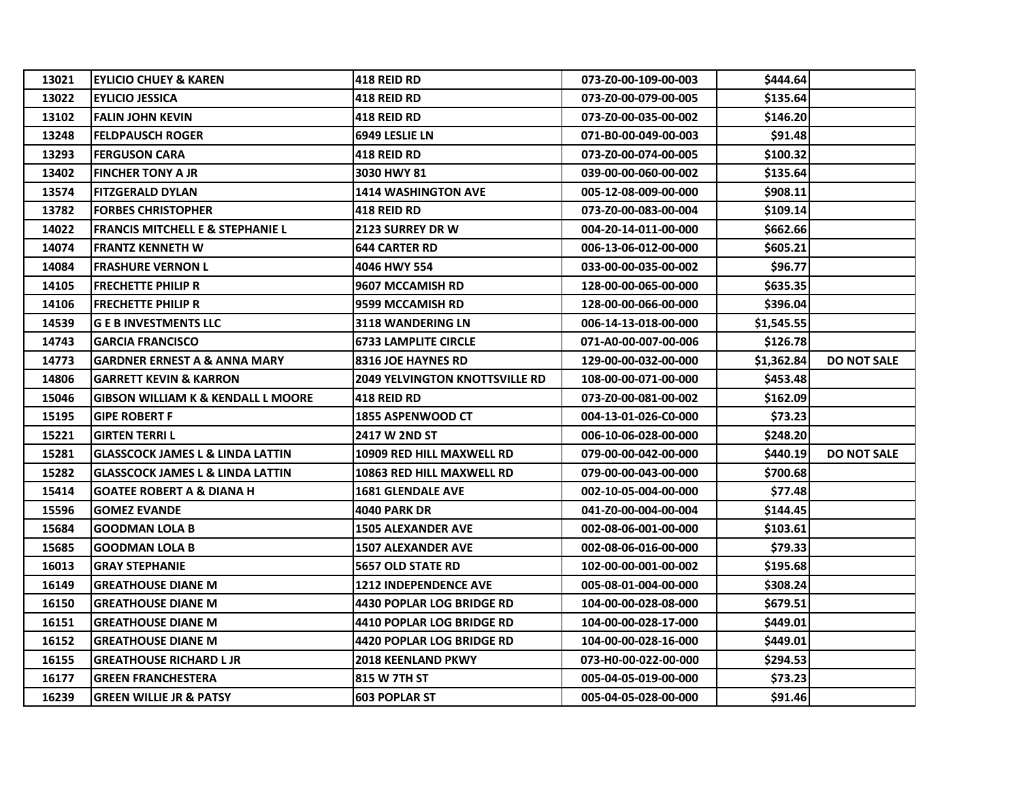| 13021 | <b>EYLICIO CHUEY &amp; KAREN</b>              | <b>418 REID RD</b>                    | 073-Z0-00-109-00-003 | \$444.64   |                    |
|-------|-----------------------------------------------|---------------------------------------|----------------------|------------|--------------------|
| 13022 | <b>EYLICIO JESSICA</b>                        | <b>418 REID RD</b>                    | 073-Z0-00-079-00-005 | \$135.64   |                    |
| 13102 | <b>FALIN JOHN KEVIN</b>                       | <b>418 REID RD</b>                    | 073-Z0-00-035-00-002 | \$146.20   |                    |
| 13248 | <b>FELDPAUSCH ROGER</b>                       | 6949 LESLIE LN                        | 071-B0-00-049-00-003 | \$91.48    |                    |
| 13293 | <b>FERGUSON CARA</b>                          | <b>418 REID RD</b>                    | 073-Z0-00-074-00-005 | \$100.32   |                    |
| 13402 | <b>FINCHER TONY A JR</b>                      | 3030 HWY 81                           | 039-00-00-060-00-002 | \$135.64   |                    |
| 13574 | <b>FITZGERALD DYLAN</b>                       | <b>1414 WASHINGTON AVE</b>            | 005-12-08-009-00-000 | \$908.11   |                    |
| 13782 | <b>FORBES CHRISTOPHER</b>                     | <b>418 REID RD</b>                    | 073-Z0-00-083-00-004 | \$109.14   |                    |
| 14022 | <b>FRANCIS MITCHELL E &amp; STEPHANIE L</b>   | <b>2123 SURREY DR W</b>               | 004-20-14-011-00-000 | \$662.66   |                    |
| 14074 | <b>FRANTZ KENNETH W</b>                       | <b>644 CARTER RD</b>                  | 006-13-06-012-00-000 | \$605.21   |                    |
| 14084 | <b>FRASHURE VERNON L</b>                      | 4046 HWY 554                          | 033-00-00-035-00-002 | \$96.77    |                    |
| 14105 | <b>FRECHETTE PHILIP R</b>                     | 9607 MCCAMISH RD                      | 128-00-00-065-00-000 | \$635.35   |                    |
| 14106 | <b>FRECHETTE PHILIP R</b>                     | 9599 MCCAMISH RD                      | 128-00-00-066-00-000 | \$396.04   |                    |
| 14539 | <b>G E B INVESTMENTS LLC</b>                  | 3118 WANDERING LN                     | 006-14-13-018-00-000 | \$1,545.55 |                    |
| 14743 | <b>GARCIA FRANCISCO</b>                       | <b>6733 LAMPLITE CIRCLE</b>           | 071-A0-00-007-00-006 | \$126.78   |                    |
| 14773 | <b>GARDNER ERNEST A &amp; ANNA MARY</b>       | <b>8316 JOE HAYNES RD</b>             | 129-00-00-032-00-000 | \$1,362.84 | <b>DO NOT SALE</b> |
| 14806 | <b>GARRETT KEVIN &amp; KARRON</b>             | <b>2049 YELVINGTON KNOTTSVILLE RD</b> | 108-00-00-071-00-000 | \$453.48   |                    |
| 15046 | <b>GIBSON WILLIAM K &amp; KENDALL L MOORE</b> | 418 REID RD                           | 073-Z0-00-081-00-002 | \$162.09   |                    |
| 15195 | <b>GIPE ROBERT F</b>                          | 1855 ASPENWOOD CT                     | 004-13-01-026-C0-000 | \$73.23    |                    |
| 15221 | <b>GIRTEN TERRIL</b>                          | <b>2417 W 2ND ST</b>                  | 006-10-06-028-00-000 | \$248.20   |                    |
| 15281 | GLASSCOCK JAMES L & LINDA LATTIN              | 10909 RED HILL MAXWELL RD             | 079-00-00-042-00-000 | \$440.19   | <b>DO NOT SALE</b> |
| 15282 | <b>GLASSCOCK JAMES L &amp; LINDA LATTIN</b>   | 10863 RED HILL MAXWELL RD             | 079-00-00-043-00-000 | \$700.68   |                    |
| 15414 | <b>GOATEE ROBERT A &amp; DIANA H</b>          | <b>1681 GLENDALE AVE</b>              | 002-10-05-004-00-000 | \$77.48    |                    |
| 15596 | <b>GOMEZ EVANDE</b>                           | <b>4040 PARK DR</b>                   | 041-Z0-00-004-00-004 | \$144.45   |                    |
| 15684 | <b>GOODMAN LOLA B</b>                         | <b>1505 ALEXANDER AVE</b>             | 002-08-06-001-00-000 | \$103.61   |                    |
| 15685 | <b>GOODMAN LOLA B</b>                         | <b>1507 ALEXANDER AVE</b>             | 002-08-06-016-00-000 | \$79.33    |                    |
| 16013 | <b>GRAY STEPHANIE</b>                         | <b>5657 OLD STATE RD</b>              | 102-00-00-001-00-002 | \$195.68   |                    |
| 16149 | <b>GREATHOUSE DIANE M</b>                     | <b>1212 INDEPENDENCE AVE</b>          | 005-08-01-004-00-000 | \$308.24   |                    |
| 16150 | <b>GREATHOUSE DIANE M</b>                     | <b>4430 POPLAR LOG BRIDGE RD</b>      | 104-00-00-028-08-000 | \$679.51   |                    |
| 16151 | <b>GREATHOUSE DIANE M</b>                     | 4410 POPLAR LOG BRIDGE RD             | 104-00-00-028-17-000 | \$449.01   |                    |
| 16152 | <b>GREATHOUSE DIANE M</b>                     | <b>4420 POPLAR LOG BRIDGE RD</b>      | 104-00-00-028-16-000 | \$449.01   |                    |
| 16155 | <b>GREATHOUSE RICHARD L JR</b>                | <b>2018 KEENLAND PKWY</b>             | 073-H0-00-022-00-000 | \$294.53   |                    |
| 16177 | <b>GREEN FRANCHESTERA</b>                     | 815 W 7TH ST                          | 005-04-05-019-00-000 | \$73.23    |                    |
| 16239 | <b>GREEN WILLIE JR &amp; PATSY</b>            | <b>603 POPLAR ST</b>                  | 005-04-05-028-00-000 | \$91.46    |                    |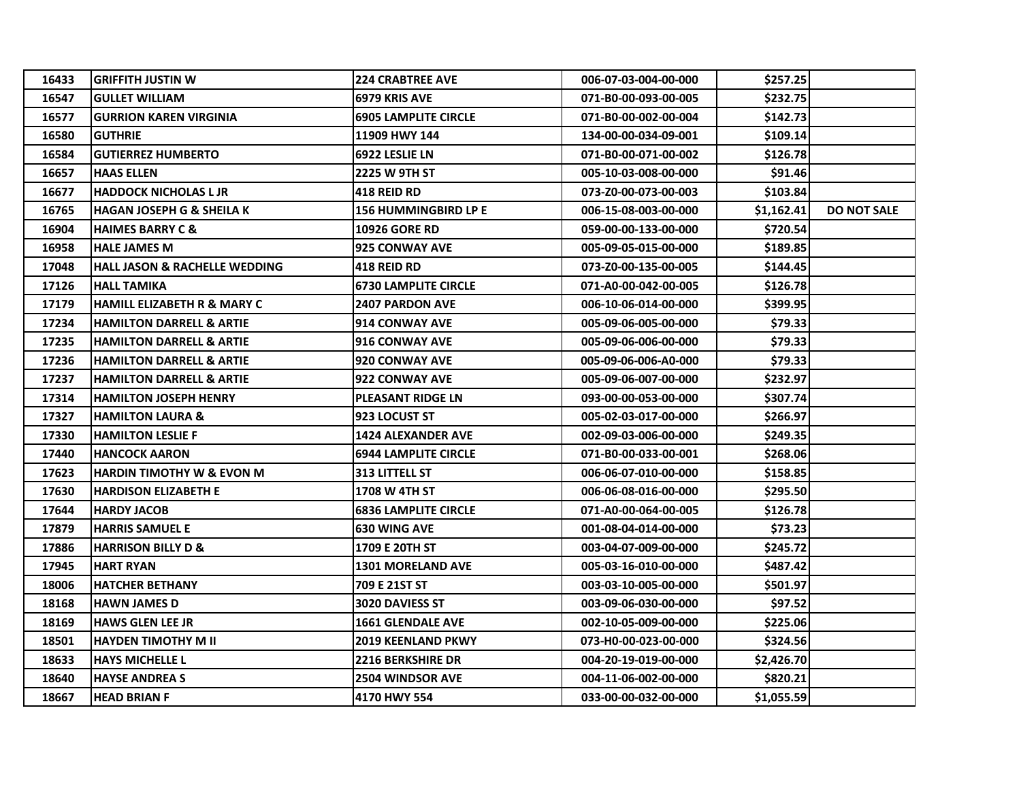| 16433 | <b>GRIFFITH JUSTIN W</b>                 | <b>224 CRABTREE AVE</b>     | 006-07-03-004-00-000 | \$257.25   |                    |
|-------|------------------------------------------|-----------------------------|----------------------|------------|--------------------|
| 16547 | <b>GULLET WILLIAM</b>                    | 6979 KRIS AVE               | 071-B0-00-093-00-005 | \$232.75   |                    |
| 16577 | <b>GURRION KAREN VIRGINIA</b>            | <b>6905 LAMPLITE CIRCLE</b> | 071-B0-00-002-00-004 | \$142.73   |                    |
| 16580 | <b>GUTHRIE</b>                           | 11909 HWY 144               | 134-00-00-034-09-001 | \$109.14   |                    |
| 16584 | <b>GUTIERREZ HUMBERTO</b>                | 6922 LESLIE LN              | 071-B0-00-071-00-002 | \$126.78   |                    |
| 16657 | <b>HAAS ELLEN</b>                        | 2225 W 9TH ST               | 005-10-03-008-00-000 | \$91.46    |                    |
| 16677 | <b>HADDOCK NICHOLAS L JR</b>             | <b>418 REID RD</b>          | 073-Z0-00-073-00-003 | \$103.84   |                    |
| 16765 | <b>HAGAN JOSEPH G &amp; SHEILA K</b>     | 156 HUMMINGBIRD LP E        | 006-15-08-003-00-000 | \$1,162.41 | <b>DO NOT SALE</b> |
| 16904 | <b>HAIMES BARRY C &amp;</b>              | <b>10926 GORE RD</b>        | 059-00-00-133-00-000 | \$720.54   |                    |
| 16958 | <b>HALE JAMES M</b>                      | <b>925 CONWAY AVE</b>       | 005-09-05-015-00-000 | \$189.85   |                    |
| 17048 | <b>HALL JASON &amp; RACHELLE WEDDING</b> | <b>418 REID RD</b>          | 073-Z0-00-135-00-005 | \$144.45   |                    |
| 17126 | <b>HALL TAMIKA</b>                       | <b>6730 LAMPLITE CIRCLE</b> | 071-A0-00-042-00-005 | \$126.78   |                    |
| 17179 | <b>HAMILL ELIZABETH R &amp; MARY C</b>   | <b>2407 PARDON AVE</b>      | 006-10-06-014-00-000 | \$399.95   |                    |
| 17234 | <b>HAMILTON DARRELL &amp; ARTIE</b>      | 914 CONWAY AVE              | 005-09-06-005-00-000 | \$79.33    |                    |
| 17235 | <b>HAMILTON DARRELL &amp; ARTIE</b>      | <b>916 CONWAY AVE</b>       | 005-09-06-006-00-000 | \$79.33    |                    |
| 17236 | <b>HAMILTON DARRELL &amp; ARTIE</b>      | 920 CONWAY AVE              | 005-09-06-006-A0-000 | \$79.33    |                    |
| 17237 | <b>HAMILTON DARRELL &amp; ARTIE</b>      | 922 CONWAY AVE              | 005-09-06-007-00-000 | \$232.97   |                    |
| 17314 | <b>HAMILTON JOSEPH HENRY</b>             | <b>PLEASANT RIDGE LN</b>    | 093-00-00-053-00-000 | \$307.74   |                    |
| 17327 | <b>HAMILTON LAURA &amp;</b>              | 923 LOCUST ST               | 005-02-03-017-00-000 | \$266.97   |                    |
| 17330 | <b>HAMILTON LESLIE F</b>                 | 1424 ALEXANDER AVE          | 002-09-03-006-00-000 | \$249.35   |                    |
| 17440 | <b>HANCOCK AARON</b>                     | <b>6944 LAMPLITE CIRCLE</b> | 071-B0-00-033-00-001 | \$268.06   |                    |
| 17623 | <b>HARDIN TIMOTHY W &amp; EVON M</b>     | <b>313 LITTELL ST</b>       | 006-06-07-010-00-000 | \$158.85   |                    |
| 17630 | <b>HARDISON ELIZABETH E</b>              | 1708 W 4TH ST               | 006-06-08-016-00-000 | \$295.50   |                    |
| 17644 | <b>HARDY JACOB</b>                       | <b>6836 LAMPLITE CIRCLE</b> | 071-A0-00-064-00-005 | \$126.78   |                    |
| 17879 | <b>HARRIS SAMUEL E</b>                   | <b>630 WING AVE</b>         | 001-08-04-014-00-000 | \$73.23    |                    |
| 17886 | <b>HARRISON BILLY D &amp;</b>            | 1709 E 20TH ST              | 003-04-07-009-00-000 | \$245.72   |                    |
| 17945 | <b>HART RYAN</b>                         | <b>1301 MORELAND AVE</b>    | 005-03-16-010-00-000 | \$487.42   |                    |
| 18006 | <b>HATCHER BETHANY</b>                   | 709 E 21ST ST               | 003-03-10-005-00-000 | \$501.97   |                    |
| 18168 | <b>HAWN JAMES D</b>                      | 3020 DAVIESS ST             | 003-09-06-030-00-000 | \$97.52    |                    |
| 18169 | <b>HAWS GLEN LEE JR</b>                  | <b>1661 GLENDALE AVE</b>    | 002-10-05-009-00-000 | \$225.06   |                    |
| 18501 | <b>HAYDEN TIMOTHY M II</b>               | 2019 KEENLAND PKWY          | 073-H0-00-023-00-000 | \$324.56   |                    |
| 18633 | <b>HAYS MICHELLE L</b>                   | <b>2216 BERKSHIRE DR</b>    | 004-20-19-019-00-000 | \$2,426.70 |                    |
| 18640 | <b>HAYSE ANDREA S</b>                    | 2504 WINDSOR AVE            | 004-11-06-002-00-000 | \$820.21   |                    |
| 18667 | <b>HEAD BRIAN F</b>                      | 4170 HWY 554                | 033-00-00-032-00-000 | \$1,055.59 |                    |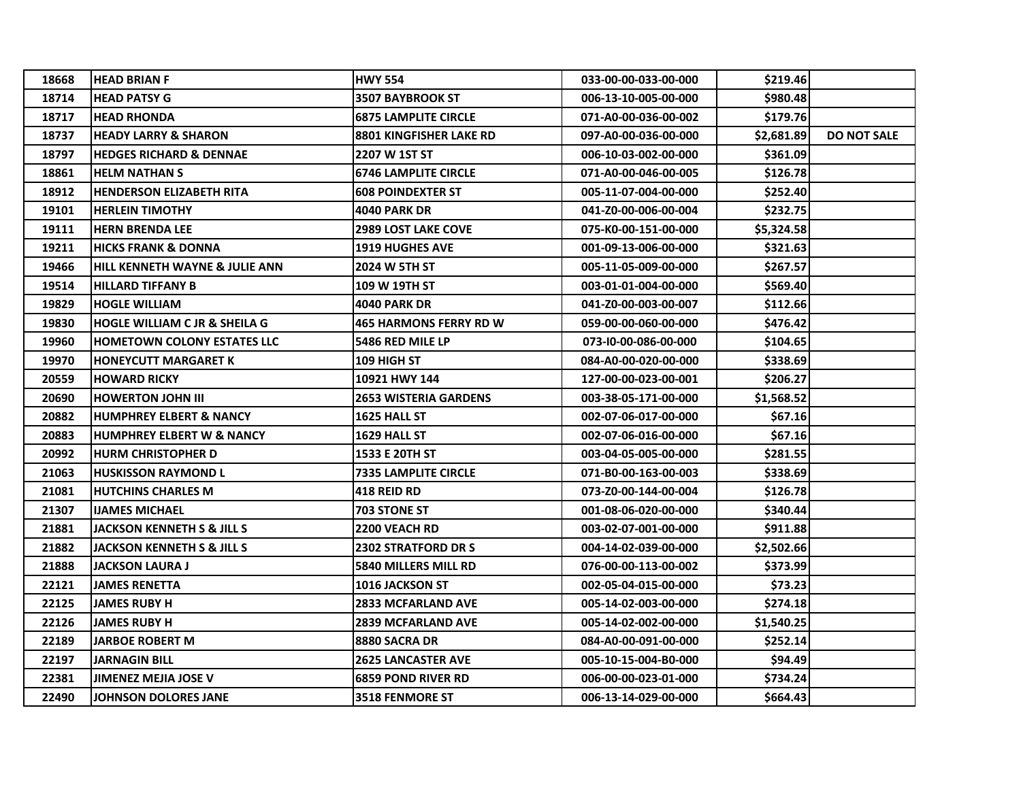| 18668 | <b>HEAD BRIAN F</b>                       | <b>HWY 554</b>                | 033-00-00-033-00-000 | \$219.46   |                    |
|-------|-------------------------------------------|-------------------------------|----------------------|------------|--------------------|
| 18714 | <b>HEAD PATSY G</b>                       | <b>3507 BAYBROOK ST</b>       | 006-13-10-005-00-000 | \$980.48   |                    |
| 18717 | <b>HEAD RHONDA</b>                        | <b>6875 LAMPLITE CIRCLE</b>   | 071-A0-00-036-00-002 | \$179.76   |                    |
| 18737 | <b>HEADY LARRY &amp; SHARON</b>           | 8801 KINGFISHER LAKE RD       | 097-A0-00-036-00-000 | \$2,681.89 | <b>DO NOT SALE</b> |
| 18797 | <b>HEDGES RICHARD &amp; DENNAE</b>        | 2207 W 1ST ST                 | 006-10-03-002-00-000 | \$361.09   |                    |
| 18861 | <b>HELM NATHAN S</b>                      | <b>6746 LAMPLITE CIRCLE</b>   | 071-A0-00-046-00-005 | \$126.78   |                    |
| 18912 | <b>HENDERSON ELIZABETH RITA</b>           | <b>608 POINDEXTER ST</b>      | 005-11-07-004-00-000 | \$252.40   |                    |
| 19101 | <b>HERLEIN TIMOTHY</b>                    | <b>4040 PARK DR</b>           | 041-Z0-00-006-00-004 | \$232.75   |                    |
| 19111 | <b>HERN BRENDA LEE</b>                    | <b>2989 LOST LAKE COVE</b>    | 075-K0-00-151-00-000 | \$5,324.58 |                    |
| 19211 | <b>HICKS FRANK &amp; DONNA</b>            | <b>1919 HUGHES AVE</b>        | 001-09-13-006-00-000 | \$321.63   |                    |
| 19466 | <b>HILL KENNETH WAYNE &amp; JULIE ANN</b> | <b>2024 W 5TH ST</b>          | 005-11-05-009-00-000 | \$267.57   |                    |
| 19514 | <b>HILLARD TIFFANY B</b>                  | 109 W 19TH ST                 | 003-01-01-004-00-000 | \$569.40   |                    |
| 19829 | <b>HOGLE WILLIAM</b>                      | <b>4040 PARK DR</b>           | 041-Z0-00-003-00-007 | \$112.66   |                    |
| 19830 | <b>HOGLE WILLIAM C JR &amp; SHEILA G</b>  | <b>465 HARMONS FERRY RD W</b> | 059-00-00-060-00-000 | \$476.42   |                    |
| 19960 | <b>HOMETOWN COLONY ESTATES LLC</b>        | 5486 RED MILE LP              | 073-10-00-086-00-000 | \$104.65   |                    |
| 19970 | <b>HONEYCUTT MARGARET K</b>               | 109 HIGH ST                   | 084-A0-00-020-00-000 | \$338.69   |                    |
| 20559 | <b>HOWARD RICKY</b>                       | 10921 HWY 144                 | 127-00-00-023-00-001 | \$206.27   |                    |
| 20690 | <b>HOWERTON JOHN III</b>                  | <b>2653 WISTERIA GARDENS</b>  | 003-38-05-171-00-000 | \$1,568.52 |                    |
| 20882 | <b>HUMPHREY ELBERT &amp; NANCY</b>        | 1625 HALL ST                  | 002-07-06-017-00-000 | \$67.16    |                    |
| 20883 | <b>HUMPHREY ELBERT W &amp; NANCY</b>      | 1629 HALL ST                  | 002-07-06-016-00-000 | \$67.16    |                    |
| 20992 | <b>HURM CHRISTOPHER D</b>                 | 1533 E 20TH ST                | 003-04-05-005-00-000 | \$281.55   |                    |
| 21063 | <b>HUSKISSON RAYMOND L</b>                | <b>7335 LAMPLITE CIRCLE</b>   | 071-B0-00-163-00-003 | \$338.69   |                    |
| 21081 | <b>HUTCHINS CHARLES M</b>                 | <b>418 REID RD</b>            | 073-Z0-00-144-00-004 | \$126.78   |                    |
| 21307 | <b>IJAMES MICHAEL</b>                     | <b>703 STONE ST</b>           | 001-08-06-020-00-000 | \$340.44   |                    |
| 21881 | <b>JACKSON KENNETH S &amp; JILL S</b>     | <b>2200 VEACH RD</b>          | 003-02-07-001-00-000 | \$911.88   |                    |
| 21882 | <b>JACKSON KENNETH S &amp; JILL S</b>     | <b>2302 STRATFORD DR S</b>    | 004-14-02-039-00-000 | \$2,502.66 |                    |
| 21888 | <b>JACKSON LAURA J</b>                    | 5840 MILLERS MILL RD          | 076-00-00-113-00-002 | \$373.99   |                    |
| 22121 | <b>JAMES RENETTA</b>                      | 1016 JACKSON ST               | 002-05-04-015-00-000 | \$73.23    |                    |
| 22125 | <b>JAMES RUBY H</b>                       | <b>2833 MCFARLAND AVE</b>     | 005-14-02-003-00-000 | \$274.18   |                    |
| 22126 | <b>JAMES RUBY H</b>                       | <b>2839 MCFARLAND AVE</b>     | 005-14-02-002-00-000 | \$1,540.25 |                    |
| 22189 | <b>JARBOE ROBERT M</b>                    | 8880 SACRA DR                 | 084-A0-00-091-00-000 | \$252.14   |                    |
| 22197 | <b>JARNAGIN BILL</b>                      | <b>2625 LANCASTER AVE</b>     | 005-10-15-004-B0-000 | \$94.49    |                    |
| 22381 | <b>JIMENEZ MEJIA JOSE V</b>               | <b>6859 POND RIVER RD</b>     | 006-00-00-023-01-000 | \$734.24   |                    |
| 22490 | <b>JOHNSON DOLORES JANE</b>               | <b>3518 FENMORE ST</b>        | 006-13-14-029-00-000 | \$664.43   |                    |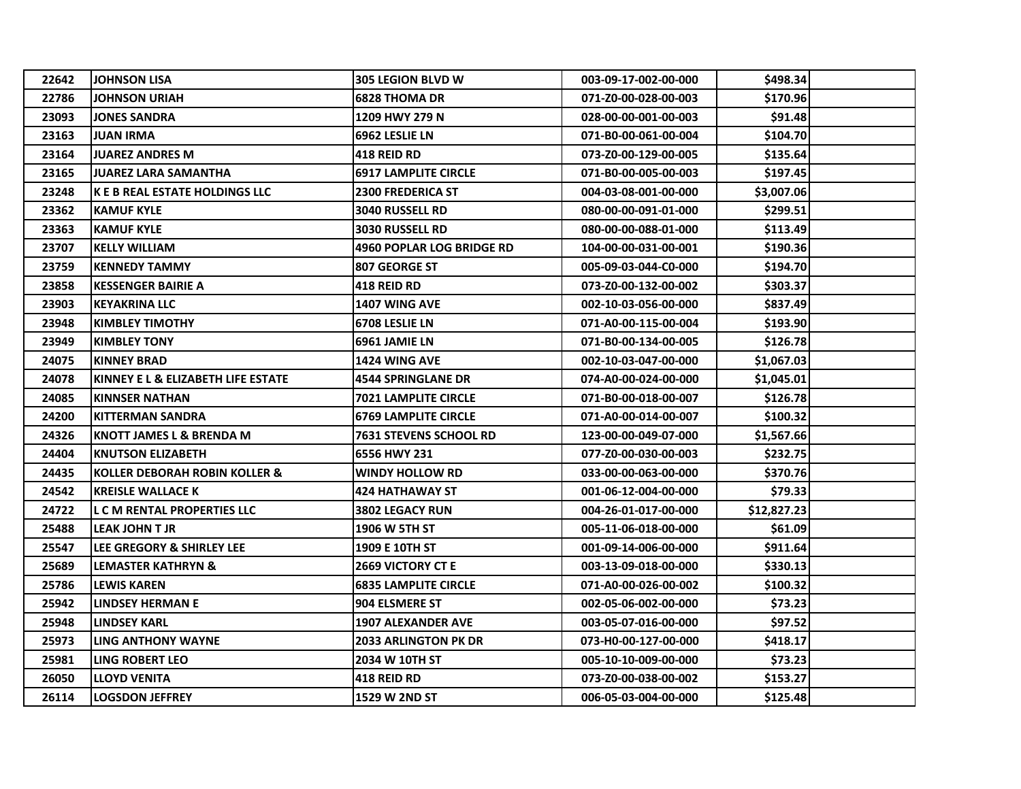| 22642 | <b>JOHNSON LISA</b>                   | <b>305 LEGION BLVD W</b>         | 003-09-17-002-00-000 | \$498.34    |
|-------|---------------------------------------|----------------------------------|----------------------|-------------|
| 22786 | <b>JOHNSON URIAH</b>                  | <b>6828 THOMA DR</b>             | 071-Z0-00-028-00-003 | \$170.96    |
| 23093 | <b>JONES SANDRA</b>                   | 1209 HWY 279 N                   | 028-00-00-001-00-003 | \$91.48     |
| 23163 | <b>JUAN IRMA</b>                      | 6962 LESLIE LN                   | 071-B0-00-061-00-004 | \$104.70    |
| 23164 | <b>JUAREZ ANDRES M</b>                | <b>418 REID RD</b>               | 073-Z0-00-129-00-005 | \$135.64    |
| 23165 | <b>JUAREZ LARA SAMANTHA</b>           | <b>6917 LAMPLITE CIRCLE</b>      | 071-B0-00-005-00-003 | \$197.45    |
| 23248 | <b>K E B REAL ESTATE HOLDINGS LLC</b> | <b>2300 FREDERICA ST</b>         | 004-03-08-001-00-000 | \$3,007.06  |
| 23362 | <b>KAMUF KYLE</b>                     | 3040 RUSSELL RD                  | 080-00-00-091-01-000 | \$299.51    |
| 23363 | <b>KAMUF KYLE</b>                     | <b>3030 RUSSELL RD</b>           | 080-00-00-088-01-000 | \$113.49    |
| 23707 | <b>KELLY WILLIAM</b>                  | <b>4960 POPLAR LOG BRIDGE RD</b> | 104-00-00-031-00-001 | \$190.36    |
| 23759 | <b>KENNEDY TAMMY</b>                  | 807 GEORGE ST                    | 005-09-03-044-C0-000 | \$194.70    |
| 23858 | <b>KESSENGER BAIRIE A</b>             | <b>418 REID RD</b>               | 073-Z0-00-132-00-002 | \$303.37    |
| 23903 | <b>KEYAKRINA LLC</b>                  | <b>1407 WING AVE</b>             | 002-10-03-056-00-000 | \$837.49    |
| 23948 | <b>KIMBLEY TIMOTHY</b>                | 6708 LESLIE LN                   | 071-A0-00-115-00-004 | \$193.90    |
| 23949 | <b>KIMBLEY TONY</b>                   | 6961 JAMIE LN                    | 071-B0-00-134-00-005 | \$126.78    |
| 24075 | <b>KINNEY BRAD</b>                    | <b>1424 WING AVE</b>             | 002-10-03-047-00-000 | \$1,067.03  |
| 24078 | KINNEY E L & ELIZABETH LIFE ESTATE    | <b>4544 SPRINGLANE DR</b>        | 074-A0-00-024-00-000 | \$1,045.01  |
| 24085 | KINNSER NATHAN                        | <b>7021 LAMPLITE CIRCLE</b>      | 071-B0-00-018-00-007 | \$126.78    |
| 24200 | <b>KITTERMAN SANDRA</b>               | <b>6769 LAMPLITE CIRCLE</b>      | 071-A0-00-014-00-007 | \$100.32    |
| 24326 | <b>KNOTT JAMES L &amp; BRENDA M</b>   | 7631 STEVENS SCHOOL RD           | 123-00-00-049-07-000 | \$1,567.66  |
| 24404 | <b>KNUTSON ELIZABETH</b>              | 6556 HWY 231                     | 077-Z0-00-030-00-003 | \$232.75    |
| 24435 | KOLLER DEBORAH ROBIN KOLLER &         | <b>WINDY HOLLOW RD</b>           | 033-00-00-063-00-000 | \$370.76    |
| 24542 | <b>KREISLE WALLACE K</b>              | <b>424 HATHAWAY ST</b>           | 001-06-12-004-00-000 | \$79.33     |
| 24722 | <b>L C M RENTAL PROPERTIES LLC</b>    | <b>3802 LEGACY RUN</b>           | 004-26-01-017-00-000 | \$12,827.23 |
| 25488 | <b>LEAK JOHN T JR</b>                 | <b>1906 W 5TH ST</b>             | 005-11-06-018-00-000 | \$61.09     |
| 25547 | <b>LEE GREGORY &amp; SHIRLEY LEE</b>  | 1909 E 10TH ST                   | 001-09-14-006-00-000 | \$911.64    |
| 25689 | <b>LEMASTER KATHRYN &amp;</b>         | <b>2669 VICTORY CT E</b>         | 003-13-09-018-00-000 | \$330.13    |
| 25786 | <b>LEWIS KAREN</b>                    | <b>6835 LAMPLITE CIRCLE</b>      | 071-A0-00-026-00-002 | \$100.32    |
| 25942 | <b>LINDSEY HERMAN E</b>               | 904 ELSMERE ST                   | 002-05-06-002-00-000 | \$73.23     |
| 25948 | <b>LINDSEY KARL</b>                   | <b>1907 ALEXANDER AVE</b>        | 003-05-07-016-00-000 | \$97.52     |
| 25973 | <b>LING ANTHONY WAYNE</b>             | 2033 ARLINGTON PK DR             | 073-H0-00-127-00-000 | \$418.17    |
| 25981 | <b>LING ROBERT LEO</b>                | 2034 W 10TH ST                   | 005-10-10-009-00-000 | \$73.23     |
| 26050 | <b>LLOYD VENITA</b>                   | 418 REID RD                      | 073-Z0-00-038-00-002 | \$153.27    |
| 26114 | <b>LOGSDON JEFFREY</b>                | 1529 W 2ND ST                    | 006-05-03-004-00-000 | \$125.48    |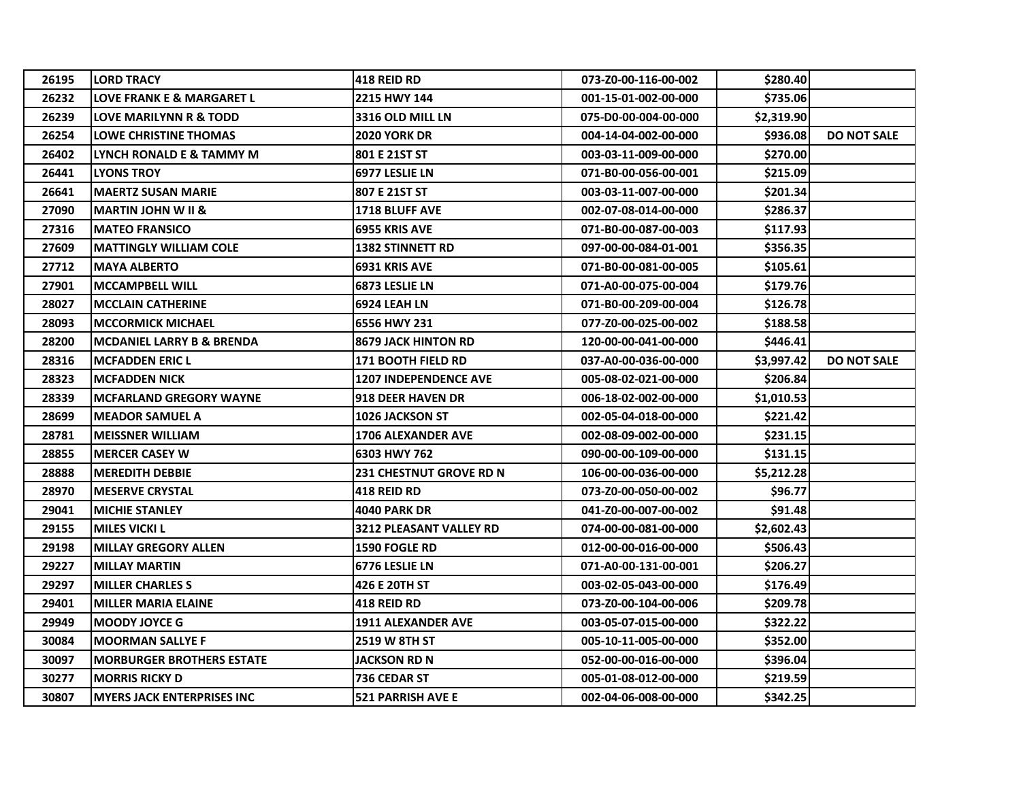| 26195 | <b>LORD TRACY</b>                    | <b>418 REID RD</b>             | 073-Z0-00-116-00-002 | \$280.40   |                    |
|-------|--------------------------------------|--------------------------------|----------------------|------------|--------------------|
| 26232 | <b>LOVE FRANK E &amp; MARGARET L</b> | 2215 HWY 144                   | 001-15-01-002-00-000 | \$735.06   |                    |
| 26239 | <b>LOVE MARILYNN R &amp; TODD</b>    | <b>3316 OLD MILL LN</b>        | 075-D0-00-004-00-000 | \$2,319.90 |                    |
| 26254 | <b>LOWE CHRISTINE THOMAS</b>         | 2020 YORK DR                   | 004-14-04-002-00-000 | \$936.08   | <b>DO NOT SALE</b> |
| 26402 | LYNCH RONALD E & TAMMY M             | 801 E 21ST ST                  | 003-03-11-009-00-000 | \$270.00   |                    |
| 26441 | <b>LYONS TROY</b>                    | 6977 LESLIE LN                 | 071-B0-00-056-00-001 | \$215.09   |                    |
| 26641 | <b>MAERTZ SUSAN MARIE</b>            | 807 E 21ST ST                  | 003-03-11-007-00-000 | \$201.34   |                    |
| 27090 | <b>MARTIN JOHN W II &amp;</b>        | <b>1718 BLUFF AVE</b>          | 002-07-08-014-00-000 | \$286.37   |                    |
| 27316 | <b>MATEO FRANSICO</b>                | <b>6955 KRIS AVE</b>           | 071-B0-00-087-00-003 | \$117.93   |                    |
| 27609 | <b>MATTINGLY WILLIAM COLE</b>        | <b>1382 STINNETT RD</b>        | 097-00-00-084-01-001 | \$356.35   |                    |
| 27712 | <b>MAYA ALBERTO</b>                  | <b>6931 KRIS AVE</b>           | 071-B0-00-081-00-005 | \$105.61   |                    |
| 27901 | <b>MCCAMPBELL WILL</b>               | <b>6873 LESLIE LN</b>          | 071-A0-00-075-00-004 | \$179.76   |                    |
| 28027 | <b>MCCLAIN CATHERINE</b>             | 6924 LEAH LN                   | 071-B0-00-209-00-004 | \$126.78   |                    |
| 28093 | <b>MCCORMICK MICHAEL</b>             | 6556 HWY 231                   | 077-Z0-00-025-00-002 | \$188.58   |                    |
| 28200 | <b>MCDANIEL LARRY B &amp; BRENDA</b> | <b>8679 JACK HINTON RD</b>     | 120-00-00-041-00-000 | \$446.41   |                    |
| 28316 | <b>MCFADDEN ERIC L</b>               | <b>171 BOOTH FIELD RD</b>      | 037-A0-00-036-00-000 | \$3,997.42 | <b>DO NOT SALE</b> |
| 28323 | <b>MCFADDEN NICK</b>                 | <b>1207 INDEPENDENCE AVE</b>   | 005-08-02-021-00-000 | \$206.84   |                    |
| 28339 | <b>IMCFARLAND GREGORY WAYNE</b>      | <b>918 DEER HAVEN DR</b>       | 006-18-02-002-00-000 | \$1,010.53 |                    |
| 28699 | <b>MEADOR SAMUEL A</b>               | <b>1026 JACKSON ST</b>         | 002-05-04-018-00-000 | \$221.42   |                    |
| 28781 | <b>MEISSNER WILLIAM</b>              | 1706 ALEXANDER AVE             | 002-08-09-002-00-000 | \$231.15   |                    |
| 28855 | <b>MERCER CASEY W</b>                | 6303 HWY 762                   | 090-00-00-109-00-000 | \$131.15   |                    |
| 28888 | <b>MEREDITH DEBBIE</b>               | <b>231 CHESTNUT GROVE RD N</b> | 106-00-00-036-00-000 | \$5,212.28 |                    |
| 28970 | <b>MESERVE CRYSTAL</b>               | 418 REID RD                    | 073-Z0-00-050-00-002 | \$96.77    |                    |
| 29041 | <b>MICHIE STANLEY</b>                | <b>4040 PARK DR</b>            | 041-Z0-00-007-00-002 | \$91.48    |                    |
| 29155 | <b>MILES VICKI L</b>                 | 3212 PLEASANT VALLEY RD        | 074-00-00-081-00-000 | \$2,602.43 |                    |
| 29198 | <b>MILLAY GREGORY ALLEN</b>          | <b>1590 FOGLE RD</b>           | 012-00-00-016-00-000 | \$506.43   |                    |
| 29227 | <b>MILLAY MARTIN</b>                 | 6776 LESLIE LN                 | 071-A0-00-131-00-001 | \$206.27   |                    |
| 29297 | <b>MILLER CHARLES S</b>              | 426 E 20TH ST                  | 003-02-05-043-00-000 | \$176.49   |                    |
| 29401 | <b>MILLER MARIA ELAINE</b>           | <b>418 REID RD</b>             | 073-Z0-00-104-00-006 | \$209.78   |                    |
| 29949 | <b>MOODY JOYCE G</b>                 | <b>1911 ALEXANDER AVE</b>      | 003-05-07-015-00-000 | \$322.22   |                    |
| 30084 | <b>MOORMAN SALLYE F</b>              | <b>2519 W 8TH ST</b>           | 005-10-11-005-00-000 | \$352.00   |                    |
| 30097 | <b>MORBURGER BROTHERS ESTATE</b>     | JACKSON RD N                   | 052-00-00-016-00-000 | \$396.04   |                    |
| 30277 | <b>MORRIS RICKY D</b>                | 736 CEDAR ST                   | 005-01-08-012-00-000 | \$219.59   |                    |
| 30807 | <b>MYERS JACK ENTERPRISES INC</b>    | 521 PARRISH AVE E              | 002-04-06-008-00-000 | \$342.25   |                    |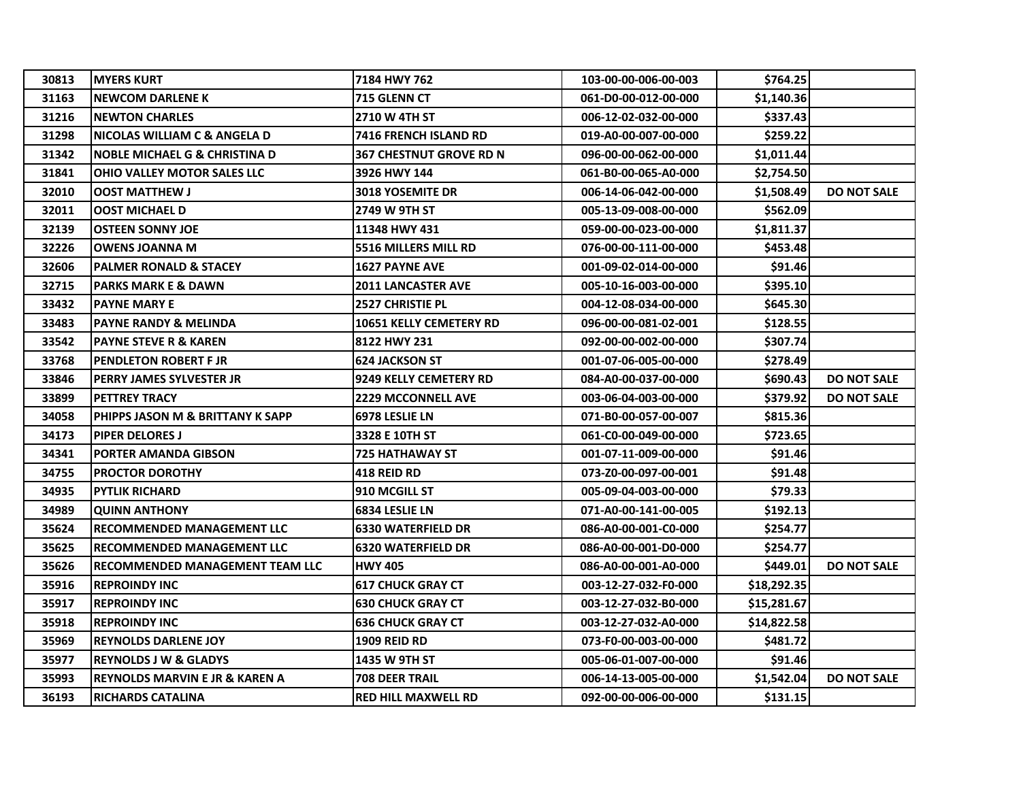| 30813 | <b>IMYERS KURT</b>                          | 7184 HWY 762               | 103-00-00-006-00-003 | \$764.25    |                    |
|-------|---------------------------------------------|----------------------------|----------------------|-------------|--------------------|
| 31163 | <b>NEWCOM DARLENE K</b>                     | 715 GLENN CT               | 061-D0-00-012-00-000 | \$1,140.36  |                    |
| 31216 | <b>NEWTON CHARLES</b>                       | 2710 W 4TH ST              | 006-12-02-032-00-000 | \$337.43    |                    |
| 31298 | NICOLAS WILLIAM C & ANGELA D                | 7416 FRENCH ISLAND RD      | 019-A0-00-007-00-000 | \$259.22    |                    |
| 31342 | <b>NOBLE MICHAEL G &amp; CHRISTINA D</b>    | 367 CHESTNUT GROVE RD N    | 096-00-00-062-00-000 | \$1,011.44  |                    |
| 31841 | <b>OHIO VALLEY MOTOR SALES LLC</b>          | 3926 HWY 144               | 061-B0-00-065-A0-000 | \$2,754.50  |                    |
| 32010 | <b>OOST MATTHEW J</b>                       | <b>3018 YOSEMITE DR</b>    | 006-14-06-042-00-000 | \$1,508.49  | <b>DO NOT SALE</b> |
| 32011 | <b>OOST MICHAEL D</b>                       | 2749 W 9TH ST              | 005-13-09-008-00-000 | \$562.09    |                    |
| 32139 | <b>OSTEEN SONNY JOE</b>                     | 11348 HWY 431              | 059-00-00-023-00-000 | \$1,811.37  |                    |
| 32226 | <b>OWENS JOANNA M</b>                       | 5516 MILLERS MILL RD       | 076-00-00-111-00-000 | \$453.48    |                    |
| 32606 | <b>PALMER RONALD &amp; STACEY</b>           | <b>1627 PAYNE AVE</b>      | 001-09-02-014-00-000 | \$91.46     |                    |
| 32715 | <b>PARKS MARK E &amp; DAWN</b>              | 2011 LANCASTER AVE         | 005-10-16-003-00-000 | \$395.10    |                    |
| 33432 | <b>PAYNE MARY E</b>                         | <b>2527 CHRISTIE PL</b>    | 004-12-08-034-00-000 | \$645.30    |                    |
| 33483 | <b>PAYNE RANDY &amp; MELINDA</b>            | 10651 KELLY CEMETERY RD    | 096-00-00-081-02-001 | \$128.55    |                    |
| 33542 | <b>PAYNE STEVE R &amp; KAREN</b>            | 8122 HWY 231               | 092-00-00-002-00-000 | \$307.74    |                    |
| 33768 | <b>PENDLETON ROBERT F JR</b>                | <b>624 JACKSON ST</b>      | 001-07-06-005-00-000 | \$278.49    |                    |
| 33846 | <b>PERRY JAMES SYLVESTER JR</b>             | 9249 KELLY CEMETERY RD     | 084-A0-00-037-00-000 | \$690.43    | <b>DO NOT SALE</b> |
| 33899 | <b>PETTREY TRACY</b>                        | <b>2229 MCCONNELL AVE</b>  | 003-06-04-003-00-000 | \$379.92    | <b>DO NOT SALE</b> |
| 34058 | <b>PHIPPS JASON M &amp; BRITTANY K SAPP</b> | 6978 LESLIE LN             | 071-B0-00-057-00-007 | \$815.36    |                    |
| 34173 | <b>PIPER DELORES J</b>                      | 3328 E 10TH ST             | 061-C0-00-049-00-000 | \$723.65    |                    |
| 34341 | <b>PORTER AMANDA GIBSON</b>                 | <b>725 HATHAWAY ST</b>     | 001-07-11-009-00-000 | \$91.46     |                    |
| 34755 | <b>PROCTOR DOROTHY</b>                      | <b>418 REID RD</b>         | 073-Z0-00-097-00-001 | \$91.48     |                    |
| 34935 | <b>PYTLIK RICHARD</b>                       | <b>910 MCGILL ST</b>       | 005-09-04-003-00-000 | \$79.33     |                    |
| 34989 | <b>QUINN ANTHONY</b>                        | <b>6834 LESLIE LN</b>      | 071-A0-00-141-00-005 | \$192.13    |                    |
| 35624 | <b>RECOMMENDED MANAGEMENT LLC</b>           | <b>6330 WATERFIELD DR</b>  | 086-A0-00-001-C0-000 | \$254.77    |                    |
| 35625 | <b>RECOMMENDED MANAGEMENT LLC</b>           | <b>6320 WATERFIELD DR</b>  | 086-A0-00-001-D0-000 | \$254.77    |                    |
| 35626 | <b>RECOMMENDED MANAGEMENT TEAM LLC</b>      | <b>HWY 405</b>             | 086-A0-00-001-A0-000 | \$449.01    | <b>DO NOT SALE</b> |
| 35916 | <b>REPROINDY INC</b>                        | <b>617 CHUCK GRAY CT</b>   | 003-12-27-032-F0-000 | \$18,292.35 |                    |
| 35917 | <b>REPROINDY INC</b>                        | <b>630 CHUCK GRAY CT</b>   | 003-12-27-032-B0-000 | \$15,281.67 |                    |
| 35918 | <b>REPROINDY INC</b>                        | <b>636 CHUCK GRAY CT</b>   | 003-12-27-032-A0-000 | \$14,822.58 |                    |
| 35969 | <b>REYNOLDS DARLENE JOY</b>                 | <b>1909 REID RD</b>        | 073-F0-00-003-00-000 | \$481.72    |                    |
| 35977 | <b>REYNOLDS J W &amp; GLADYS</b>            | 1435 W 9TH ST              | 005-06-01-007-00-000 | \$91.46     |                    |
| 35993 | <b>REYNOLDS MARVIN E JR &amp; KAREN A</b>   | 708 DEER TRAIL             | 006-14-13-005-00-000 | \$1,542.04  | <b>DO NOT SALE</b> |
| 36193 | <b>RICHARDS CATALINA</b>                    | <b>RED HILL MAXWELL RD</b> | 092-00-00-006-00-000 | \$131.15    |                    |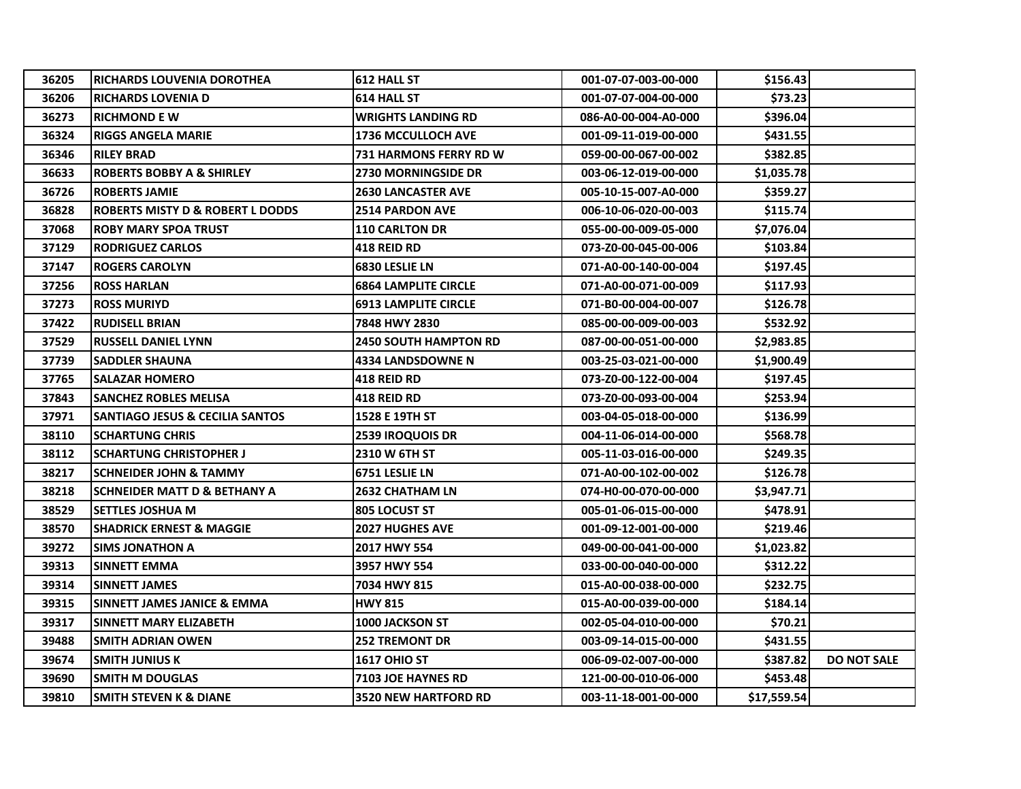| 36205 | IRICHARDS LOUVENIA DOROTHEA                 | 612 HALL ST                  | 001-07-07-003-00-000 | \$156.43    |                    |
|-------|---------------------------------------------|------------------------------|----------------------|-------------|--------------------|
| 36206 | <b>RICHARDS LOVENIA D</b>                   | 614 HALL ST                  | 001-07-07-004-00-000 | \$73.23     |                    |
| 36273 | <b>RICHMOND E W</b>                         | <b>WRIGHTS LANDING RD</b>    | 086-A0-00-004-A0-000 | \$396.04    |                    |
| 36324 | <b>RIGGS ANGELA MARIE</b>                   | <b>1736 MCCULLOCH AVE</b>    | 001-09-11-019-00-000 | \$431.55    |                    |
| 36346 | <b>RILEY BRAD</b>                           | 731 HARMONS FERRY RD W       | 059-00-00-067-00-002 | \$382.85    |                    |
| 36633 | <b>ROBERTS BOBBY A &amp; SHIRLEY</b>        | <b>2730 MORNINGSIDE DR</b>   | 003-06-12-019-00-000 | \$1,035.78  |                    |
| 36726 | <b>ROBERTS JAMIE</b>                        | <b>2630 LANCASTER AVE</b>    | 005-10-15-007-A0-000 | \$359.27    |                    |
| 36828 | <b>ROBERTS MISTY D &amp; ROBERT L DODDS</b> | <b>2514 PARDON AVE</b>       | 006-10-06-020-00-003 | \$115.74    |                    |
| 37068 | <b>ROBY MARY SPOA TRUST</b>                 | <b>110 CARLTON DR</b>        | 055-00-00-009-05-000 | \$7,076.04  |                    |
| 37129 | <b>RODRIGUEZ CARLOS</b>                     | <b>418 REID RD</b>           | 073-Z0-00-045-00-006 | \$103.84    |                    |
| 37147 | <b>ROGERS CAROLYN</b>                       | 6830 LESLIE LN               | 071-A0-00-140-00-004 | \$197.45    |                    |
| 37256 | <b>ROSS HARLAN</b>                          | <b>6864 LAMPLITE CIRCLE</b>  | 071-A0-00-071-00-009 | \$117.93    |                    |
| 37273 | <b>ROSS MURIYD</b>                          | <b>6913 LAMPLITE CIRCLE</b>  | 071-B0-00-004-00-007 | \$126.78    |                    |
| 37422 | <b>RUDISELL BRIAN</b>                       | 7848 HWY 2830                | 085-00-00-009-00-003 | \$532.92    |                    |
| 37529 | <b>RUSSELL DANIEL LYNN</b>                  | <b>2450 SOUTH HAMPTON RD</b> | 087-00-00-051-00-000 | \$2,983.85  |                    |
| 37739 | <b>SADDLER SHAUNA</b>                       | <b>4334 LANDSDOWNE N</b>     | 003-25-03-021-00-000 | \$1,900.49  |                    |
| 37765 | <b>SALAZAR HOMERO</b>                       | <b>418 REID RD</b>           | 073-Z0-00-122-00-004 | \$197.45    |                    |
| 37843 | <b>SANCHEZ ROBLES MELISA</b>                | <b>418 REID RD</b>           | 073-Z0-00-093-00-004 | \$253.94    |                    |
| 37971 | <b>SANTIAGO JESUS &amp; CECILIA SANTOS</b>  | 1528 E 19TH ST               | 003-04-05-018-00-000 | \$136.99    |                    |
| 38110 | <b>SCHARTUNG CHRIS</b>                      | <b>2539 IROQUOIS DR</b>      | 004-11-06-014-00-000 | \$568.78    |                    |
| 38112 | <b>SCHARTUNG CHRISTOPHER J</b>              | 2310 W 6TH ST                | 005-11-03-016-00-000 | \$249.35    |                    |
| 38217 | <b>SCHNEIDER JOHN &amp; TAMMY</b>           | 6751 LESLIE LN               | 071-A0-00-102-00-002 | \$126.78    |                    |
| 38218 | <b>SCHNEIDER MATT D &amp; BETHANY A</b>     | <b>2632 CHATHAM LN</b>       | 074-H0-00-070-00-000 | \$3,947.71  |                    |
| 38529 | <b>SETTLES JOSHUA M</b>                     | 805 LOCUST ST                | 005-01-06-015-00-000 | \$478.91    |                    |
| 38570 | <b>SHADRICK ERNEST &amp; MAGGIE</b>         | <b>2027 HUGHES AVE</b>       | 001-09-12-001-00-000 | \$219.46    |                    |
| 39272 | SIMS JONATHON A                             | 2017 HWY 554                 | 049-00-00-041-00-000 | \$1,023.82  |                    |
| 39313 | SINNETT EMMA                                | 3957 HWY 554                 | 033-00-00-040-00-000 | \$312.22    |                    |
| 39314 | <b>SINNETT JAMES</b>                        | 7034 HWY 815                 | 015-A0-00-038-00-000 | \$232.75    |                    |
| 39315 | SINNETT JAMES JANICE & EMMA                 | <b>HWY 815</b>               | 015-A0-00-039-00-000 | \$184.14    |                    |
| 39317 | SINNETT MARY ELIZABETH                      | <b>1000 JACKSON ST</b>       | 002-05-04-010-00-000 | \$70.21     |                    |
| 39488 | <b>SMITH ADRIAN OWEN</b>                    | <b>252 TREMONT DR</b>        | 003-09-14-015-00-000 | \$431.55    |                    |
| 39674 | <b>SMITH JUNIUS K</b>                       | <b>1617 OHIO ST</b>          | 006-09-02-007-00-000 | \$387.82    | <b>DO NOT SALE</b> |
| 39690 | <b>SMITH M DOUGLAS</b>                      | <b>7103 JOE HAYNES RD</b>    | 121-00-00-010-06-000 | \$453.48    |                    |
| 39810 | <b>SMITH STEVEN K &amp; DIANE</b>           | <b>3520 NEW HARTFORD RD</b>  | 003-11-18-001-00-000 | \$17,559.54 |                    |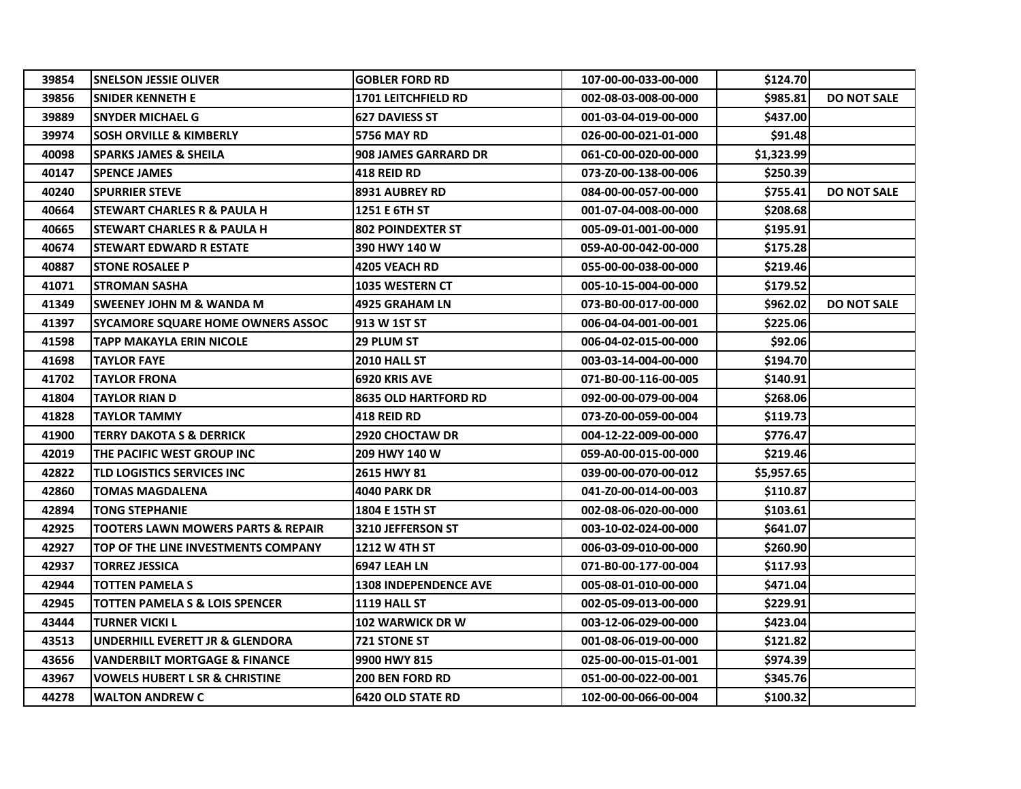| 39854 | <b>SNELSON JESSIE OLIVER</b>                  | <b>GOBLER FORD RD</b>        | 107-00-00-033-00-000 | \$124.70   |                    |
|-------|-----------------------------------------------|------------------------------|----------------------|------------|--------------------|
| 39856 | <b>SNIDER KENNETH E</b>                       | <b>1701 LEITCHFIELD RD</b>   | 002-08-03-008-00-000 | \$985.81   | <b>DO NOT SALE</b> |
| 39889 | <b>SNYDER MICHAEL G</b>                       | <b>627 DAVIESS ST</b>        | 001-03-04-019-00-000 | \$437.00   |                    |
| 39974 | <b>SOSH ORVILLE &amp; KIMBERLY</b>            | <b>5756 MAY RD</b>           | 026-00-00-021-01-000 | \$91.48    |                    |
| 40098 | <b>SPARKS JAMES &amp; SHEILA</b>              | <b>908 JAMES GARRARD DR</b>  | 061-C0-00-020-00-000 | \$1,323.99 |                    |
| 40147 | <b>SPENCE JAMES</b>                           | <b>418 REID RD</b>           | 073-Z0-00-138-00-006 | \$250.39   |                    |
| 40240 | <b>ISPURRIER STEVE</b>                        | <b>8931 AUBREY RD</b>        | 084-00-00-057-00-000 | \$755.41   | <b>DO NOT SALE</b> |
| 40664 | <b>STEWART CHARLES R &amp; PAULA H</b>        | <b>1251 E 6TH ST</b>         | 001-07-04-008-00-000 | \$208.68   |                    |
| 40665 | <b>STEWART CHARLES R &amp; PAULA H</b>        | <b>802 POINDEXTER ST</b>     | 005-09-01-001-00-000 | \$195.91   |                    |
| 40674 | <b>STEWART EDWARD R ESTATE</b>                | 390 HWY 140 W                | 059-A0-00-042-00-000 | \$175.28   |                    |
| 40887 | <b>STONE ROSALEE P</b>                        | <b>4205 VEACH RD</b>         | 055-00-00-038-00-000 | \$219.46   |                    |
| 41071 | <b>STROMAN SASHA</b>                          | <b>1035 WESTERN CT</b>       | 005-10-15-004-00-000 | \$179.52   |                    |
| 41349 | <b>SWEENEY JOHN M &amp; WANDA M</b>           | 4925 GRAHAM LN               | 073-B0-00-017-00-000 | \$962.02   | <b>DO NOT SALE</b> |
| 41397 | <b>SYCAMORE SQUARE HOME OWNERS ASSOC</b>      | 913 W 1ST ST                 | 006-04-04-001-00-001 | \$225.06   |                    |
| 41598 | <b>TAPP MAKAYLA ERIN NICOLE</b>               | <b>29 PLUM ST</b>            | 006-04-02-015-00-000 | \$92.06    |                    |
| 41698 | <b>TAYLOR FAYE</b>                            | 2010 HALL ST                 | 003-03-14-004-00-000 | \$194.70   |                    |
| 41702 | <b>TAYLOR FRONA</b>                           | 6920 KRIS AVE                | 071-B0-00-116-00-005 | \$140.91   |                    |
| 41804 | <b>TAYLOR RIAN D</b>                          | <b>8635 OLD HARTFORD RD</b>  | 092-00-00-079-00-004 | \$268.06   |                    |
| 41828 | <b>TAYLOR TAMMY</b>                           | <b>418 REID RD</b>           | 073-Z0-00-059-00-004 | \$119.73   |                    |
| 41900 | <b>TERRY DAKOTA S &amp; DERRICK</b>           | <b>2920 CHOCTAW DR</b>       | 004-12-22-009-00-000 | \$776.47   |                    |
| 42019 | THE PACIFIC WEST GROUP INC                    | 209 HWY 140 W                | 059-A0-00-015-00-000 | \$219.46   |                    |
| 42822 | <b>TLD LOGISTICS SERVICES INC</b>             | 2615 HWY 81                  | 039-00-00-070-00-012 | \$5,957.65 |                    |
| 42860 | <b>TOMAS MAGDALENA</b>                        | <b>4040 PARK DR</b>          | 041-Z0-00-014-00-003 | \$110.87   |                    |
| 42894 | <b>TONG STEPHANIE</b>                         | 1804 E 15TH ST               | 002-08-06-020-00-000 | \$103.61   |                    |
| 42925 | <b>TOOTERS LAWN MOWERS PARTS &amp; REPAIR</b> | <b>3210 JEFFERSON ST</b>     | 003-10-02-024-00-000 | \$641.07   |                    |
| 42927 | TOP OF THE LINE INVESTMENTS COMPANY           | 1212 W 4TH ST                | 006-03-09-010-00-000 | \$260.90   |                    |
| 42937 | <b>TORREZ JESSICA</b>                         | 6947 LEAH LN                 | 071-B0-00-177-00-004 | \$117.93   |                    |
| 42944 | <b>TOTTEN PAMELA S</b>                        | <b>1308 INDEPENDENCE AVE</b> | 005-08-01-010-00-000 | \$471.04   |                    |
| 42945 | <b>TOTTEN PAMELA S &amp; LOIS SPENCER</b>     | 1119 HALL ST                 | 002-05-09-013-00-000 | \$229.91   |                    |
| 43444 | <b>TURNER VICKI L</b>                         | <b>102 WARWICK DR W</b>      | 003-12-06-029-00-000 | \$423.04   |                    |
| 43513 | UNDERHILL EVERETT JR & GLENDORA               | 721 STONE ST                 | 001-08-06-019-00-000 | \$121.82   |                    |
| 43656 | <b>VANDERBILT MORTGAGE &amp; FINANCE</b>      | 9900 HWY 815                 | 025-00-00-015-01-001 | \$974.39   |                    |
| 43967 | <b>VOWELS HUBERT L SR &amp; CHRISTINE</b>     | 200 BEN FORD RD              | 051-00-00-022-00-001 | \$345.76   |                    |
| 44278 | <b>WALTON ANDREW C</b>                        | <b>6420 OLD STATE RD</b>     | 102-00-00-066-00-004 | \$100.32   |                    |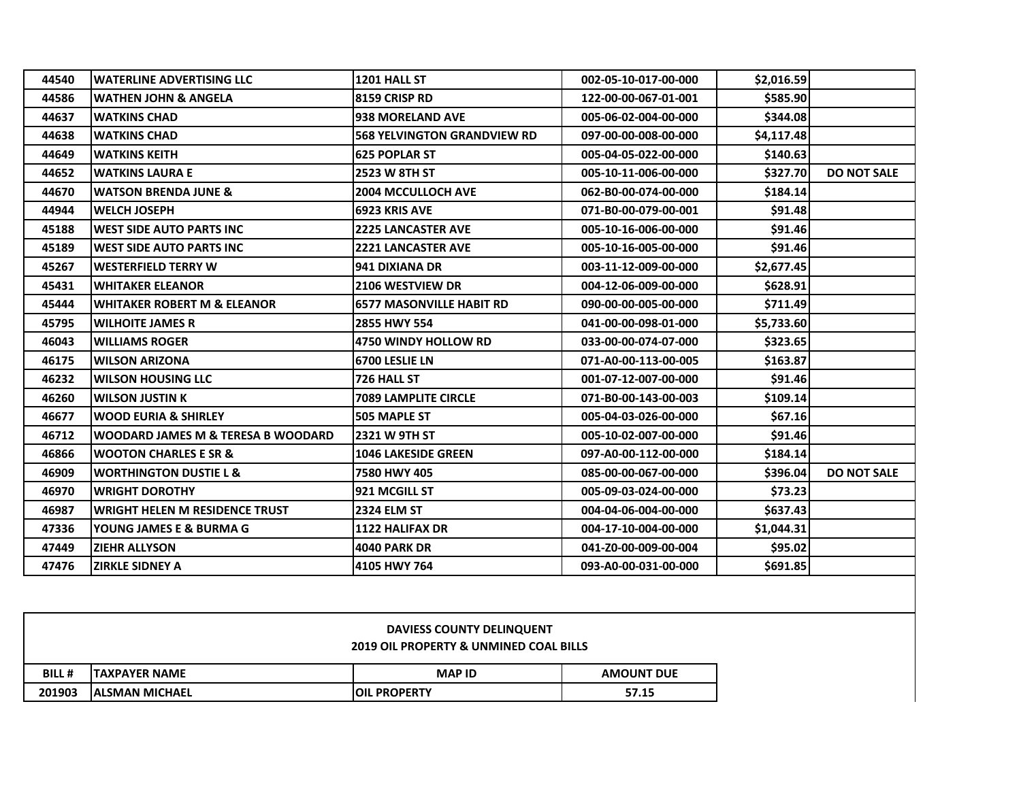| 44540 | <b>WATERLINE ADVERTISING LLC</b>       | 1201 HALL ST                       | 002-05-10-017-00-000 | \$2,016.59 |                    |
|-------|----------------------------------------|------------------------------------|----------------------|------------|--------------------|
| 44586 | <b>WATHEN JOHN &amp; ANGELA</b>        | 8159 CRISP RD                      | 122-00-00-067-01-001 | \$585.90   |                    |
| 44637 | <b>WATKINS CHAD</b>                    | 938 MORELAND AVE                   | 005-06-02-004-00-000 | \$344.08   |                    |
| 44638 | <b>WATKINS CHAD</b>                    | <b>568 YELVINGTON GRANDVIEW RD</b> | 097-00-00-008-00-000 | \$4,117.48 |                    |
| 44649 | <b>WATKINS KEITH</b>                   | <b>625 POPLAR ST</b>               | 005-04-05-022-00-000 | \$140.63   |                    |
| 44652 | <b>WATKINS LAURA E</b>                 | 2523 W 8TH ST                      | 005-10-11-006-00-000 | \$327.70   | <b>DO NOT SALE</b> |
| 44670 | <b>WATSON BRENDA JUNE &amp;</b>        | <b>2004 MCCULLOCH AVE</b>          | 062-B0-00-074-00-000 | \$184.14   |                    |
| 44944 | <b>WELCH JOSEPH</b>                    | 6923 KRIS AVE                      | 071-B0-00-079-00-001 | \$91.48    |                    |
| 45188 | <b>WEST SIDE AUTO PARTS INC</b>        | <b>2225 LANCASTER AVE</b>          | 005-10-16-006-00-000 | \$91.46    |                    |
| 45189 | <b>WEST SIDE AUTO PARTS INC.</b>       | <b>2221 LANCASTER AVE</b>          | 005-10-16-005-00-000 | \$91.46    |                    |
| 45267 | <b>WESTERFIELD TERRY W</b>             | <b>941 DIXIANA DR</b>              | 003-11-12-009-00-000 | \$2,677.45 |                    |
| 45431 | <b>WHITAKER ELEANOR</b>                | <b>2106 WESTVIEW DR</b>            | 004-12-06-009-00-000 | \$628.91   |                    |
| 45444 | <b>WHITAKER ROBERT M &amp; ELEANOR</b> | <b>6577 MASONVILLE HABIT RD</b>    | 090-00-00-005-00-000 | \$711.49   |                    |
| 45795 | <b>WILHOITE JAMES R</b>                | 2855 HWY 554                       | 041-00-00-098-01-000 | \$5,733.60 |                    |
| 46043 | <b>WILLIAMS ROGER</b>                  | <b>4750 WINDY HOLLOW RD</b>        | 033-00-00-074-07-000 | \$323.65   |                    |
| 46175 | <b>IWILSON ARIZONA</b>                 | <b>6700 LESLIE LN</b>              | 071-A0-00-113-00-005 | \$163.87   |                    |
| 46232 | <b>WILSON HOUSING LLC</b>              | 726 HALL ST                        | 001-07-12-007-00-000 | \$91.46    |                    |
| 46260 | <b>WILSON JUSTIN K</b>                 | 7089 LAMPLITE CIRCLE               | 071-B0-00-143-00-003 | \$109.14   |                    |
| 46677 | <b>WOOD EURIA &amp; SHIRLEY</b>        | <b>505 MAPLE ST</b>                | 005-04-03-026-00-000 | \$67.16    |                    |
| 46712 | WOODARD JAMES M & TERESA B WOODARD     | 2321 W 9TH ST                      | 005-10-02-007-00-000 | \$91.46    |                    |
| 46866 | <b>WOOTON CHARLES E SR &amp;</b>       | <b>1046 LAKESIDE GREEN</b>         | 097-A0-00-112-00-000 | \$184.14   |                    |
| 46909 | <b>WORTHINGTON DUSTIE L &amp;</b>      | 7580 HWY 405                       | 085-00-00-067-00-000 | \$396.04   | <b>DO NOT SALE</b> |
| 46970 | <b>WRIGHT DOROTHY</b>                  | 921 MCGILL ST                      | 005-09-03-024-00-000 | \$73.23    |                    |
| 46987 | <b>WRIGHT HELEN M RESIDENCE TRUST</b>  | <b>2324 ELM ST</b>                 | 004-04-06-004-00-000 | \$637.43   |                    |
| 47336 | YOUNG JAMES E & BURMA G                | 1122 HALIFAX DR                    | 004-17-10-004-00-000 | \$1,044.31 |                    |
| 47449 | <b>ZIEHR ALLYSON</b>                   | <b>4040 PARK DR</b>                | 041-Z0-00-009-00-004 | \$95.02    |                    |
| 47476 | <b>ZIRKLE SIDNEY A</b>                 | 4105 HWY 764                       | 093-A0-00-031-00-000 | \$691.85   |                    |

|              | <b>DAVIESS COUNTY DELINQUENT</b><br>2019 OIL PROPERTY & UNMINED COAL BILLS |                      |                   |  |
|--------------|----------------------------------------------------------------------------|----------------------|-------------------|--|
| <b>BILL#</b> | <b>ITAXPAYER NAME</b>                                                      | <b>MAP ID</b>        | <b>AMOUNT DUE</b> |  |
| 201903       | <b>IALSMAN MICHAEL</b>                                                     | <b>JOIL PROPERTY</b> | 57.15             |  |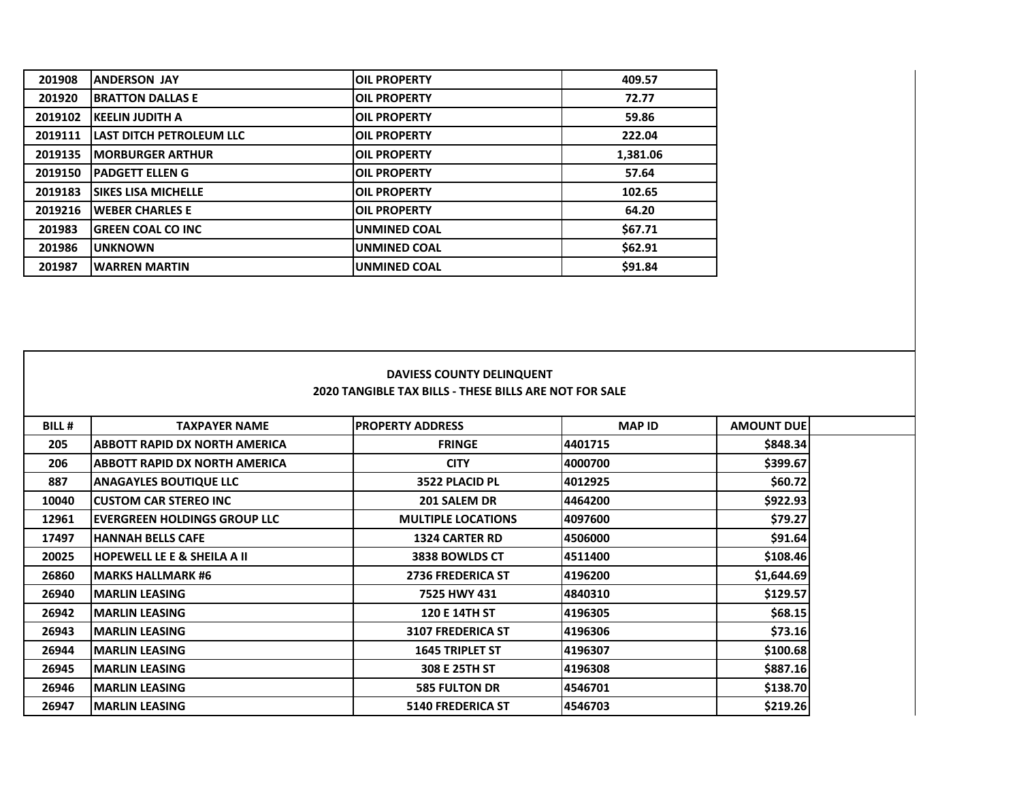| 201908  | <b>ANDERSON JAY</b>        | <b>OIL PROPERTY</b> | 409.57   |
|---------|----------------------------|---------------------|----------|
| 201920  | <b>BRATTON DALLAS E</b>    | <b>OIL PROPERTY</b> | 72.77    |
| 2019102 | <b>KEELIN JUDITH A</b>     | <b>OIL PROPERTY</b> | 59.86    |
| 2019111 | LAST DITCH PETROLEUM LLC   | <b>OIL PROPERTY</b> | 222.04   |
| 2019135 | <b>MORBURGER ARTHUR</b>    | <b>OIL PROPERTY</b> | 1,381.06 |
| 2019150 | <b>PADGETT ELLEN G</b>     | <b>OIL PROPERTY</b> | 57.64    |
| 2019183 | <b>SIKES LISA MICHELLE</b> | <b>OIL PROPERTY</b> | 102.65   |
| 2019216 | <b>WEBER CHARLES E</b>     | <b>OIL PROPERTY</b> | 64.20    |
| 201983  | <b>GREEN COAL CO INC</b>   | <b>UNMINED COAL</b> | \$67.71  |
| 201986  | <b>UNKNOWN</b>             | <b>UNMINED COAL</b> | \$62.91  |
| 201987  | <b>WARREN MARTIN</b>       | UNMINED COAL        | \$91.84  |

|              |                                         | <b>DAVIESS COUNTY DELINQUENT</b><br><b>2020 TANGIBLE TAX BILLS - THESE BILLS ARE NOT FOR SALE</b> |               |                   |  |
|--------------|-----------------------------------------|---------------------------------------------------------------------------------------------------|---------------|-------------------|--|
| <b>BILL#</b> | <b>TAXPAYER NAME</b>                    | <b>IPROPERTY ADDRESS</b>                                                                          | <b>MAP ID</b> | <b>AMOUNT DUE</b> |  |
| 205          | IABBOTT RAPID DX NORTH AMERICA          | <b>FRINGE</b>                                                                                     | 4401715       | \$848.34          |  |
| 206          | ABBOTT RAPID DX NORTH AMERICA           | <b>CITY</b>                                                                                       | 4000700       | \$399.67          |  |
| 887          | <b>ANAGAYLES BOUTIQUE LLC</b>           | 3522 PLACID PL                                                                                    | 4012925       | \$60.72           |  |
| 10040        | <b>ICUSTOM CAR STEREO INC</b>           | 201 SALEM DR                                                                                      | 4464200       | \$922.93          |  |
| 12961        | IEVERGREEN HOLDINGS GROUP LLC           | <b>MULTIPLE LOCATIONS</b>                                                                         | 4097600       | \$79.27           |  |
| 17497        | <b>HANNAH BELLS CAFE</b>                | <b>1324 CARTER RD</b>                                                                             | 4506000       | \$91.64           |  |
| 20025        | <b>IHOPEWELL LE E &amp; SHEILA A II</b> | 3838 BOWLDS CT                                                                                    | 4511400       | \$108.46          |  |
| 26860        | <b>MARKS HALLMARK #6</b>                | <b>2736 FREDERICA ST</b>                                                                          | 4196200       | \$1,644.69        |  |
| 26940        | <b>IMARLIN LEASING</b>                  | 7525 HWY 431                                                                                      | 4840310       | \$129.57          |  |
| 26942        | <b>IMARLIN LEASING</b>                  | <b>120 E 14TH ST</b>                                                                              | 4196305       | \$68.15           |  |
| 26943        | <b>MARLIN LEASING</b>                   | <b>3107 FREDERICA ST</b>                                                                          | 4196306       | \$73.16           |  |
| 26944        | <b>IMARLIN LEASING</b>                  | <b>1645 TRIPLET ST</b>                                                                            | 4196307       | \$100.68          |  |
| 26945        | <b>IMARLIN LEASING</b>                  | 308 E 25TH ST                                                                                     | 4196308       | \$887.16          |  |
| 26946        | <b>MARLIN LEASING</b>                   | <b>585 FULTON DR</b>                                                                              | 4546701       | \$138.70          |  |
| 26947        | <b>MARLIN LEASING</b>                   | <b>5140 FREDERICA ST</b>                                                                          | 4546703       | \$219.26          |  |